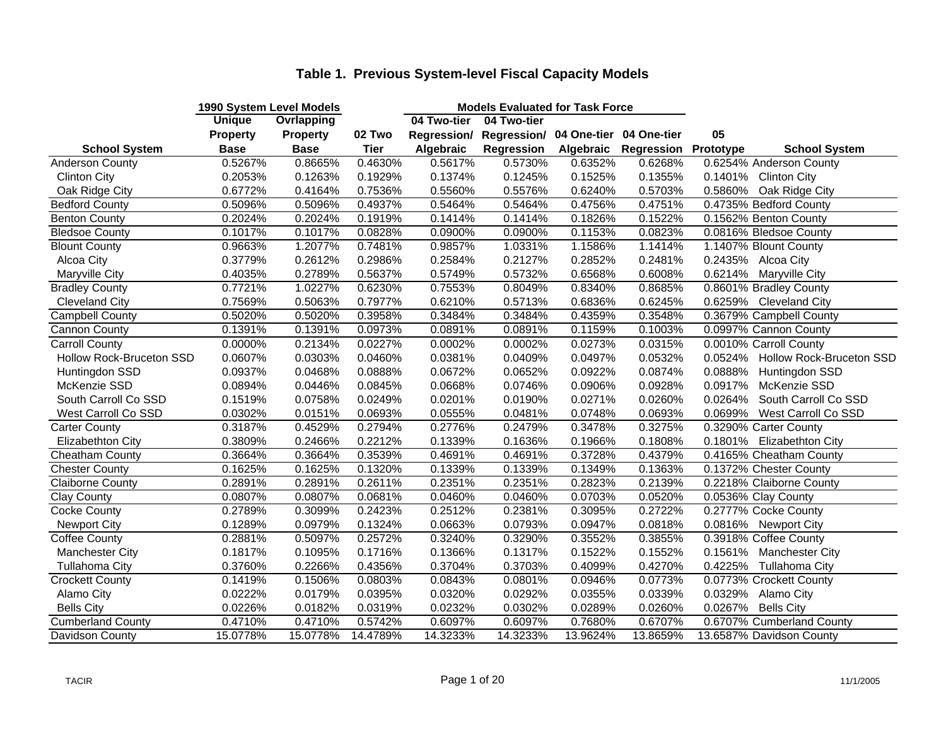|                          | 1990 System Level Models |                   |          |             | <b>Models Evaluated for Task Force</b>          |           |            |           |                                 |
|--------------------------|--------------------------|-------------------|----------|-------------|-------------------------------------------------|-----------|------------|-----------|---------------------------------|
|                          | <b>Unique</b>            | <b>Ovrlapping</b> |          | 04 Two-tier | 04 Two-tier                                     |           |            |           |                                 |
|                          | <b>Property</b>          | <b>Property</b>   | 02 Two   |             | Regression/ Regression/ 04 One-tier 04 One-tier |           |            | 05        |                                 |
| <b>School System</b>     | <b>Base</b>              | <b>Base</b>       | Tier     | Algebraic   | Regression                                      | Algebraic | Regression | Prototype | <b>School System</b>            |
| <b>Anderson County</b>   | 0.5267%                  | 0.8665%           | 0.4630%  | 0.5617%     | 0.5730%                                         | 0.6352%   | 0.6268%    |           | 0.6254% Anderson County         |
| <b>Clinton City</b>      | 0.2053%                  | 0.1263%           | 0.1929%  | 0.1374%     | 0.1245%                                         | 0.1525%   | 0.1355%    |           | 0.1401% Clinton City            |
| Oak Ridge City           | 0.6772%                  | 0.4164%           | 0.7536%  | 0.5560%     | 0.5576%                                         | 0.6240%   | 0.5703%    | 0.5860%   | Oak Ridge City                  |
| <b>Bedford County</b>    | 0.5096%                  | 0.5096%           | 0.4937%  | 0.5464%     | 0.5464%                                         | 0.4756%   | 0.4751%    |           | 0.4735% Bedford County          |
| <b>Benton County</b>     | 0.2024%                  | 0.2024%           | 0.1919%  | 0.1414%     | 0.1414%                                         | 0.1826%   | 0.1522%    |           | 0.1562% Benton County           |
| <b>Bledsoe County</b>    | 0.1017%                  | 0.1017%           | 0.0828%  | 0.0900%     | 0.0900%                                         | 0.1153%   | 0.0823%    |           | 0.0816% Bledsoe County          |
| <b>Blount County</b>     | 0.9663%                  | 1.2077%           | 0.7481%  | 0.9857%     | 1.0331%                                         | 1.1586%   | 1.1414%    |           | 1.1407% Blount County           |
| Alcoa City               | 0.3779%                  | 0.2612%           | 0.2986%  | 0.2584%     | 0.2127%                                         | 0.2852%   | 0.2481%    |           | 0.2435% Alcoa City              |
| <b>Maryville City</b>    | 0.4035%                  | 0.2789%           | 0.5637%  | 0.5749%     | 0.5732%                                         | 0.6568%   | 0.6008%    |           | 0.6214% Maryville City          |
| <b>Bradley County</b>    | 0.7721%                  | 1.0227%           | 0.6230%  | 0.7553%     | 0.8049%                                         | 0.8340%   | 0.8685%    |           | 0.8601% Bradley County          |
| <b>Cleveland City</b>    | 0.7569%                  | 0.5063%           | 0.7977%  | 0.6210%     | 0.5713%                                         | 0.6836%   | 0.6245%    |           | 0.6259% Cleveland City          |
| <b>Campbell County</b>   | 0.5020%                  | 0.5020%           | 0.3958%  | 0.3484%     | 0.3484%                                         | 0.4359%   | 0.3548%    |           | 0.3679% Campbell County         |
| <b>Cannon County</b>     | 0.1391%                  | 0.1391%           | 0.0973%  | 0.0891%     | 0.0891%                                         | 0.1159%   | 0.1003%    |           | 0.0997% Cannon County           |
| <b>Carroll County</b>    | 0.0000%                  | 0.2134%           | 0.0227%  | 0.0002%     | 0.0002%                                         | 0.0273%   | 0.0315%    |           | 0.0010% Carroll County          |
| Hollow Rock-Bruceton SSD | 0.0607%                  | 0.0303%           | 0.0460%  | 0.0381%     | 0.0409%                                         | 0.0497%   | 0.0532%    | 0.0524%   | <b>Hollow Rock-Bruceton SSD</b> |
| Huntingdon SSD           | 0.0937%                  | 0.0468%           | 0.0888%  | 0.0672%     | 0.0652%                                         | 0.0922%   | 0.0874%    | 0.0888%   | Huntingdon SSD                  |
| McKenzie SSD             | 0.0894%                  | 0.0446%           | 0.0845%  | 0.0668%     | 0.0746%                                         | 0.0906%   | 0.0928%    | 0.0917%   | McKenzie SSD                    |
| South Carroll Co SSD     | 0.1519%                  | 0.0758%           | 0.0249%  | 0.0201%     | 0.0190%                                         | 0.0271%   | 0.0260%    | 0.0264%   | South Carroll Co SSD            |
| West Carroll Co SSD      | 0.0302%                  | 0.0151%           | 0.0693%  | 0.0555%     | 0.0481%                                         | 0.0748%   | 0.0693%    | 0.0699%   | West Carroll Co SSD             |
| <b>Carter County</b>     | 0.3187%                  | 0.4529%           | 0.2794%  | 0.2776%     | 0.2479%                                         | 0.3478%   | 0.3275%    |           | 0.3290% Carter County           |
| Elizabethton City        | 0.3809%                  | 0.2466%           | 0.2212%  | 0.1339%     | 0.1636%                                         | 0.1966%   | 0.1808%    |           | 0.1801% Elizabethton City       |
| Cheatham County          | 0.3664%                  | 0.3664%           | 0.3539%  | 0.4691%     | 0.4691%                                         | 0.3728%   | 0.4379%    |           | 0.4165% Cheatham County         |
| <b>Chester County</b>    | 0.1625%                  | 0.1625%           | 0.1320%  | 0.1339%     | 0.1339%                                         | 0.1349%   | 0.1363%    |           | 0.1372% Chester County          |
| Claiborne County         | 0.2891%                  | 0.2891%           | 0.2611%  | 0.2351%     | 0.2351%                                         | 0.2823%   | 0.2139%    |           | 0.2218% Claiborne County        |
| Clay County              | 0.0807%                  | 0.0807%           | 0.0681%  | 0.0460%     | 0.0460%                                         | 0.0703%   | 0.0520%    |           | 0.0536% Clay County             |
| <b>Cocke County</b>      | 0.2789%                  | 0.3099%           | 0.2423%  | 0.2512%     | 0.2381%                                         | 0.3095%   | 0.2722%    |           | 0.2777% Cocke County            |
| <b>Newport City</b>      | 0.1289%                  | 0.0979%           | 0.1324%  | 0.0663%     | 0.0793%                                         | 0.0947%   | 0.0818%    |           | 0.0816% Newport City            |
| <b>Coffee County</b>     | 0.2881%                  | 0.5097%           | 0.2572%  | 0.3240%     | 0.3290%                                         | 0.3552%   | 0.3855%    |           | 0.3918% Coffee County           |
| Manchester City          | 0.1817%                  | 0.1095%           | 0.1716%  | 0.1366%     | 0.1317%                                         | 0.1522%   | 0.1552%    | 0.1561%   | <b>Manchester City</b>          |
| <b>Tullahoma City</b>    | 0.3760%                  | 0.2266%           | 0.4356%  | 0.3704%     | 0.3703%                                         | 0.4099%   | 0.4270%    | 0.4225%   | <b>Tullahoma City</b>           |
| <b>Crockett County</b>   | 0.1419%                  | 0.1506%           | 0.0803%  | 0.0843%     | 0.0801%                                         | 0.0946%   | 0.0773%    |           | 0.0773% Crockett County         |
| Alamo City               | 0.0222%                  | 0.0179%           | 0.0395%  | 0.0320%     | 0.0292%                                         | 0.0355%   | 0.0339%    |           | 0.0329% Alamo City              |
| <b>Bells City</b>        | 0.0226%                  | 0.0182%           | 0.0319%  | 0.0232%     | 0.0302%                                         | 0.0289%   | 0.0260%    |           | 0.0267% Bells City              |
| <b>Cumberland County</b> | 0.4710%                  | 0.4710%           | 0.5742%  | 0.6097%     | 0.6097%                                         | 0.7680%   | 0.6707%    |           | 0.6707% Cumberland County       |
| Davidson County          | 15.0778%                 | 15.0778%          | 14.4789% | 14.3233%    | 14.3233%                                        | 13.9624%  | 13.8659%   |           | 13.6587% Davidson County        |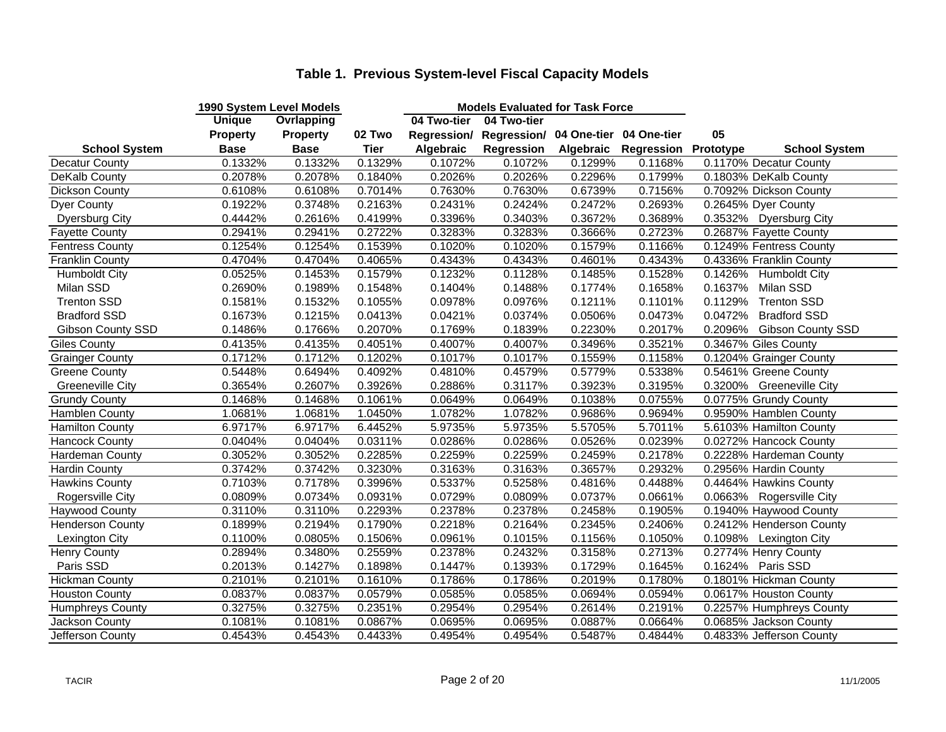| <b>Ovrlapping</b><br>04 Two-tier<br>04 Two-tier<br>05<br><b>Property</b><br>02 Two<br>Regression/ Regression/ 04 One-tier 04 One-tier<br><b>Property</b><br><b>School System</b><br><b>Tier</b><br>Regression<br>Regression<br><b>Base</b><br><b>Base</b><br>Algebraic<br>Algebraic<br>Prototype<br><b>School System</b><br>0.1332%<br>0.1329%<br>0.1072%<br>0.1072%<br><b>Decatur County</b><br>0.1332%<br>0.1299%<br>0.1168%<br>0.1170% Decatur County<br>0.2078%<br>0.2026%<br>0.2296%<br>0.1799%<br>0.1803% DeKalb County<br>DeKalb County<br>0.2078%<br>0.1840%<br>0.2026%<br>0.7156%<br>0.6108%<br>0.7014%<br>0.7630%<br>0.7630%<br>0.6739%<br>0.7092% Dickson County<br><b>Dickson County</b><br>0.6108%<br>0.3748%<br>0.2431%<br>0.2424%<br>0.2472%<br>0.2693%<br><b>Dyer County</b><br>0.1922%<br>0.2163%<br>0.2645% Dyer County<br>0.4442%<br>0.2616%<br>0.3396%<br>0.3403%<br>0.3672%<br>0.3689%<br>0.3532% Dyersburg City<br><b>Dyersburg City</b><br>0.4199%<br>0.2722%<br>0.3283%<br>0.3283%<br>0.3666%<br>0.2723%<br>0.2687% Fayette County<br><b>Fayette County</b><br>0.2941%<br>0.2941%<br>0.1254%<br>0.1254%<br>0.1539%<br>0.1020%<br>0.1020%<br>0.1579%<br>0.1166%<br>0.1249% Fentress County<br><b>Fentress County</b><br><b>Franklin County</b><br>0.4704%<br>0.4065%<br>0.4343%<br>0.4343%<br>0.4601%<br>0.4343%<br>0.4336% Franklin County<br>0.4704%<br>0.1528%<br>0.0525%<br>0.1453%<br>0.1232%<br>0.1128%<br>0.1485%<br>0.1426%<br><b>Humboldt City</b><br>0.1579%<br><b>Humboldt City</b><br>Milan SSD<br>0.2690%<br>0.1989%<br>0.1404%<br>0.1488%<br>0.1774%<br>0.1658%<br>0.1637%<br>Milan SSD<br>0.1548%<br><b>Trenton SSD</b><br>0.1532%<br>0.0978%<br>0.0976%<br>0.1211%<br>0.1101%<br>0.1129%<br><b>Trenton SSD</b><br>0.1581%<br>0.1055%<br>0.1215%<br>0.0374%<br>0.0506%<br>0.0473%<br>0.0472%<br><b>Bradford SSD</b><br>0.1673%<br>0.0413%<br>0.0421%<br><b>Bradford SSD</b> | 1990 System Level Models |  | <b>Models Evaluated for Task Force</b> |  |                   |
|-------------------------------------------------------------------------------------------------------------------------------------------------------------------------------------------------------------------------------------------------------------------------------------------------------------------------------------------------------------------------------------------------------------------------------------------------------------------------------------------------------------------------------------------------------------------------------------------------------------------------------------------------------------------------------------------------------------------------------------------------------------------------------------------------------------------------------------------------------------------------------------------------------------------------------------------------------------------------------------------------------------------------------------------------------------------------------------------------------------------------------------------------------------------------------------------------------------------------------------------------------------------------------------------------------------------------------------------------------------------------------------------------------------------------------------------------------------------------------------------------------------------------------------------------------------------------------------------------------------------------------------------------------------------------------------------------------------------------------------------------------------------------------------------------------------------------------------------------------------------------------------------------------------------|--------------------------|--|----------------------------------------|--|-------------------|
|                                                                                                                                                                                                                                                                                                                                                                                                                                                                                                                                                                                                                                                                                                                                                                                                                                                                                                                                                                                                                                                                                                                                                                                                                                                                                                                                                                                                                                                                                                                                                                                                                                                                                                                                                                                                                                                                                                                   | <b>Unique</b>            |  |                                        |  |                   |
|                                                                                                                                                                                                                                                                                                                                                                                                                                                                                                                                                                                                                                                                                                                                                                                                                                                                                                                                                                                                                                                                                                                                                                                                                                                                                                                                                                                                                                                                                                                                                                                                                                                                                                                                                                                                                                                                                                                   |                          |  |                                        |  |                   |
|                                                                                                                                                                                                                                                                                                                                                                                                                                                                                                                                                                                                                                                                                                                                                                                                                                                                                                                                                                                                                                                                                                                                                                                                                                                                                                                                                                                                                                                                                                                                                                                                                                                                                                                                                                                                                                                                                                                   |                          |  |                                        |  |                   |
|                                                                                                                                                                                                                                                                                                                                                                                                                                                                                                                                                                                                                                                                                                                                                                                                                                                                                                                                                                                                                                                                                                                                                                                                                                                                                                                                                                                                                                                                                                                                                                                                                                                                                                                                                                                                                                                                                                                   |                          |  |                                        |  |                   |
|                                                                                                                                                                                                                                                                                                                                                                                                                                                                                                                                                                                                                                                                                                                                                                                                                                                                                                                                                                                                                                                                                                                                                                                                                                                                                                                                                                                                                                                                                                                                                                                                                                                                                                                                                                                                                                                                                                                   |                          |  |                                        |  |                   |
|                                                                                                                                                                                                                                                                                                                                                                                                                                                                                                                                                                                                                                                                                                                                                                                                                                                                                                                                                                                                                                                                                                                                                                                                                                                                                                                                                                                                                                                                                                                                                                                                                                                                                                                                                                                                                                                                                                                   |                          |  |                                        |  |                   |
|                                                                                                                                                                                                                                                                                                                                                                                                                                                                                                                                                                                                                                                                                                                                                                                                                                                                                                                                                                                                                                                                                                                                                                                                                                                                                                                                                                                                                                                                                                                                                                                                                                                                                                                                                                                                                                                                                                                   |                          |  |                                        |  |                   |
|                                                                                                                                                                                                                                                                                                                                                                                                                                                                                                                                                                                                                                                                                                                                                                                                                                                                                                                                                                                                                                                                                                                                                                                                                                                                                                                                                                                                                                                                                                                                                                                                                                                                                                                                                                                                                                                                                                                   |                          |  |                                        |  |                   |
|                                                                                                                                                                                                                                                                                                                                                                                                                                                                                                                                                                                                                                                                                                                                                                                                                                                                                                                                                                                                                                                                                                                                                                                                                                                                                                                                                                                                                                                                                                                                                                                                                                                                                                                                                                                                                                                                                                                   |                          |  |                                        |  |                   |
|                                                                                                                                                                                                                                                                                                                                                                                                                                                                                                                                                                                                                                                                                                                                                                                                                                                                                                                                                                                                                                                                                                                                                                                                                                                                                                                                                                                                                                                                                                                                                                                                                                                                                                                                                                                                                                                                                                                   |                          |  |                                        |  |                   |
|                                                                                                                                                                                                                                                                                                                                                                                                                                                                                                                                                                                                                                                                                                                                                                                                                                                                                                                                                                                                                                                                                                                                                                                                                                                                                                                                                                                                                                                                                                                                                                                                                                                                                                                                                                                                                                                                                                                   |                          |  |                                        |  |                   |
|                                                                                                                                                                                                                                                                                                                                                                                                                                                                                                                                                                                                                                                                                                                                                                                                                                                                                                                                                                                                                                                                                                                                                                                                                                                                                                                                                                                                                                                                                                                                                                                                                                                                                                                                                                                                                                                                                                                   |                          |  |                                        |  |                   |
|                                                                                                                                                                                                                                                                                                                                                                                                                                                                                                                                                                                                                                                                                                                                                                                                                                                                                                                                                                                                                                                                                                                                                                                                                                                                                                                                                                                                                                                                                                                                                                                                                                                                                                                                                                                                                                                                                                                   |                          |  |                                        |  |                   |
|                                                                                                                                                                                                                                                                                                                                                                                                                                                                                                                                                                                                                                                                                                                                                                                                                                                                                                                                                                                                                                                                                                                                                                                                                                                                                                                                                                                                                                                                                                                                                                                                                                                                                                                                                                                                                                                                                                                   |                          |  |                                        |  |                   |
|                                                                                                                                                                                                                                                                                                                                                                                                                                                                                                                                                                                                                                                                                                                                                                                                                                                                                                                                                                                                                                                                                                                                                                                                                                                                                                                                                                                                                                                                                                                                                                                                                                                                                                                                                                                                                                                                                                                   |                          |  |                                        |  |                   |
| 0.1839%<br>0.2017%<br>0.2096%<br>Gibson County SSD<br>0.1486%<br>0.1766%<br>0.2070%<br>0.1769%<br>0.2230%                                                                                                                                                                                                                                                                                                                                                                                                                                                                                                                                                                                                                                                                                                                                                                                                                                                                                                                                                                                                                                                                                                                                                                                                                                                                                                                                                                                                                                                                                                                                                                                                                                                                                                                                                                                                         |                          |  |                                        |  | Gibson County SSD |
| 0.3467% Giles County<br>0.4135%<br>0.4051%<br>0.4007%<br>0.4007%<br>0.3496%<br>0.3521%<br><b>Giles County</b><br>0.4135%                                                                                                                                                                                                                                                                                                                                                                                                                                                                                                                                                                                                                                                                                                                                                                                                                                                                                                                                                                                                                                                                                                                                                                                                                                                                                                                                                                                                                                                                                                                                                                                                                                                                                                                                                                                          |                          |  |                                        |  |                   |
| 0.1712%<br>0.1017%<br>0.1017%<br>0.1559%<br>0.1158%<br>0.1204% Grainger County<br><b>Grainger County</b><br>0.1712%<br>0.1202%                                                                                                                                                                                                                                                                                                                                                                                                                                                                                                                                                                                                                                                                                                                                                                                                                                                                                                                                                                                                                                                                                                                                                                                                                                                                                                                                                                                                                                                                                                                                                                                                                                                                                                                                                                                    |                          |  |                                        |  |                   |
| 0.4579%<br>0.5779%<br>0.5338%<br><b>Greene County</b><br>0.5448%<br>0.6494%<br>0.4092%<br>0.4810%<br>0.5461% Greene County                                                                                                                                                                                                                                                                                                                                                                                                                                                                                                                                                                                                                                                                                                                                                                                                                                                                                                                                                                                                                                                                                                                                                                                                                                                                                                                                                                                                                                                                                                                                                                                                                                                                                                                                                                                        |                          |  |                                        |  |                   |
| <b>Greeneville City</b><br>0.3654%<br>0.2607%<br>0.3926%<br>0.2886%<br>0.3117%<br>0.3923%<br>0.3195%<br>0.3200% Greeneville City                                                                                                                                                                                                                                                                                                                                                                                                                                                                                                                                                                                                                                                                                                                                                                                                                                                                                                                                                                                                                                                                                                                                                                                                                                                                                                                                                                                                                                                                                                                                                                                                                                                                                                                                                                                  |                          |  |                                        |  |                   |
| 0.0755%<br>0.1468%<br>0.1468%<br>0.1061%<br>0.0649%<br>0.0649%<br>0.1038%<br>0.0775% Grundy County<br><b>Grundy County</b>                                                                                                                                                                                                                                                                                                                                                                                                                                                                                                                                                                                                                                                                                                                                                                                                                                                                                                                                                                                                                                                                                                                                                                                                                                                                                                                                                                                                                                                                                                                                                                                                                                                                                                                                                                                        |                          |  |                                        |  |                   |
| 1.0681%<br>1.0450%<br>1.0782%<br>1.0782%<br>0.9686%<br>0.9694%<br>0.9590% Hamblen County<br>Hamblen County<br>1.0681%                                                                                                                                                                                                                                                                                                                                                                                                                                                                                                                                                                                                                                                                                                                                                                                                                                                                                                                                                                                                                                                                                                                                                                                                                                                                                                                                                                                                                                                                                                                                                                                                                                                                                                                                                                                             |                          |  |                                        |  |                   |
| 6.9717%<br>5.9735%<br>5.5705%<br>5.6103% Hamilton County<br><b>Hamilton County</b><br>6.9717%<br>6.4452%<br>5.9735%<br>5.7011%                                                                                                                                                                                                                                                                                                                                                                                                                                                                                                                                                                                                                                                                                                                                                                                                                                                                                                                                                                                                                                                                                                                                                                                                                                                                                                                                                                                                                                                                                                                                                                                                                                                                                                                                                                                    |                          |  |                                        |  |                   |
| 0.0286%<br>0.0526%<br>0.0239%<br>0.0272% Hancock County<br>0.0404%<br>0.0404%<br>0.0311%<br>0.0286%<br><b>Hancock County</b>                                                                                                                                                                                                                                                                                                                                                                                                                                                                                                                                                                                                                                                                                                                                                                                                                                                                                                                                                                                                                                                                                                                                                                                                                                                                                                                                                                                                                                                                                                                                                                                                                                                                                                                                                                                      |                          |  |                                        |  |                   |
| Hardeman County<br>0.2259%<br>0.2178%<br>0.3052%<br>0.3052%<br>0.2285%<br>0.2259%<br>0.2459%<br>0.2228% Hardeman County                                                                                                                                                                                                                                                                                                                                                                                                                                                                                                                                                                                                                                                                                                                                                                                                                                                                                                                                                                                                                                                                                                                                                                                                                                                                                                                                                                                                                                                                                                                                                                                                                                                                                                                                                                                           |                          |  |                                        |  |                   |
| 0.2932%<br>Hardin County<br>0.3742%<br>0.3742%<br>0.3230%<br>0.3163%<br>0.3163%<br>0.3657%<br>0.2956% Hardin County                                                                                                                                                                                                                                                                                                                                                                                                                                                                                                                                                                                                                                                                                                                                                                                                                                                                                                                                                                                                                                                                                                                                                                                                                                                                                                                                                                                                                                                                                                                                                                                                                                                                                                                                                                                               |                          |  |                                        |  |                   |
| 0.7178%<br>0.4488%<br><b>Hawkins County</b><br>0.7103%<br>0.3996%<br>0.5337%<br>0.5258%<br>0.4816%<br>0.4464% Hawkins County                                                                                                                                                                                                                                                                                                                                                                                                                                                                                                                                                                                                                                                                                                                                                                                                                                                                                                                                                                                                                                                                                                                                                                                                                                                                                                                                                                                                                                                                                                                                                                                                                                                                                                                                                                                      |                          |  |                                        |  |                   |
| Rogersville City<br>0.0809%<br>0.0734%<br>0.0931%<br>0.0729%<br>0.0809%<br>0.0737%<br>0.0661%<br>0.0663% Rogersville City                                                                                                                                                                                                                                                                                                                                                                                                                                                                                                                                                                                                                                                                                                                                                                                                                                                                                                                                                                                                                                                                                                                                                                                                                                                                                                                                                                                                                                                                                                                                                                                                                                                                                                                                                                                         |                          |  |                                        |  |                   |
| 0.3110%<br>0.2378%<br>0.2293%<br>0.2378%<br>0.2458%<br>0.1905%<br>0.1940% Haywood County<br><b>Haywood County</b><br>0.3110%                                                                                                                                                                                                                                                                                                                                                                                                                                                                                                                                                                                                                                                                                                                                                                                                                                                                                                                                                                                                                                                                                                                                                                                                                                                                                                                                                                                                                                                                                                                                                                                                                                                                                                                                                                                      |                          |  |                                        |  |                   |
| 0.2194%<br>0.2218%<br>0.2164%<br>0.2345%<br>0.2406%<br><b>Henderson County</b><br>0.1899%<br>0.1790%<br>0.2412% Henderson County                                                                                                                                                                                                                                                                                                                                                                                                                                                                                                                                                                                                                                                                                                                                                                                                                                                                                                                                                                                                                                                                                                                                                                                                                                                                                                                                                                                                                                                                                                                                                                                                                                                                                                                                                                                  |                          |  |                                        |  |                   |
| Lexington City<br>0.1100%<br>0.0805%<br>0.1506%<br>0.0961%<br>0.1015%<br>0.1156%<br>0.1050%<br>0.1098% Lexington City                                                                                                                                                                                                                                                                                                                                                                                                                                                                                                                                                                                                                                                                                                                                                                                                                                                                                                                                                                                                                                                                                                                                                                                                                                                                                                                                                                                                                                                                                                                                                                                                                                                                                                                                                                                             |                          |  |                                        |  |                   |
| 0.2432%<br>0.2713%<br>Henry County<br>0.2894%<br>0.3480%<br>0.2559%<br>0.2378%<br>0.3158%<br>0.2774% Henry County                                                                                                                                                                                                                                                                                                                                                                                                                                                                                                                                                                                                                                                                                                                                                                                                                                                                                                                                                                                                                                                                                                                                                                                                                                                                                                                                                                                                                                                                                                                                                                                                                                                                                                                                                                                                 |                          |  |                                        |  |                   |
| Paris SSD<br>0.2013%<br>0.1427%<br>0.1898%<br>0.1447%<br>0.1393%<br>0.1729%<br>0.1645%<br>0.1624% Paris SSD                                                                                                                                                                                                                                                                                                                                                                                                                                                                                                                                                                                                                                                                                                                                                                                                                                                                                                                                                                                                                                                                                                                                                                                                                                                                                                                                                                                                                                                                                                                                                                                                                                                                                                                                                                                                       |                          |  |                                        |  |                   |
| <b>Hickman County</b><br>0.2101%<br>0.1610%<br>0.1786%<br>0.1786%<br>0.2019%<br>0.1780%<br>0.1801% Hickman County<br>0.2101%                                                                                                                                                                                                                                                                                                                                                                                                                                                                                                                                                                                                                                                                                                                                                                                                                                                                                                                                                                                                                                                                                                                                                                                                                                                                                                                                                                                                                                                                                                                                                                                                                                                                                                                                                                                      |                          |  |                                        |  |                   |
| <b>Houston County</b><br>0.0837%<br>0.0579%<br>0.0585%<br>0.0585%<br>0.0694%<br>0.0594%<br>0.0617% Houston County<br>0.0837%                                                                                                                                                                                                                                                                                                                                                                                                                                                                                                                                                                                                                                                                                                                                                                                                                                                                                                                                                                                                                                                                                                                                                                                                                                                                                                                                                                                                                                                                                                                                                                                                                                                                                                                                                                                      |                          |  |                                        |  |                   |
| 0.2257% Humphreys County<br>0.3275%<br>0.3275%<br>0.2351%<br>0.2954%<br>0.2954%<br>0.2614%<br>0.2191%<br>Humphreys County                                                                                                                                                                                                                                                                                                                                                                                                                                                                                                                                                                                                                                                                                                                                                                                                                                                                                                                                                                                                                                                                                                                                                                                                                                                                                                                                                                                                                                                                                                                                                                                                                                                                                                                                                                                         |                          |  |                                        |  |                   |
| Jackson County<br>0.1081%<br>0.1081%<br>0.0664%<br>0.0685% Jackson County<br>0.0867%<br>0.0695%<br>0.0695%<br>0.0887%                                                                                                                                                                                                                                                                                                                                                                                                                                                                                                                                                                                                                                                                                                                                                                                                                                                                                                                                                                                                                                                                                                                                                                                                                                                                                                                                                                                                                                                                                                                                                                                                                                                                                                                                                                                             |                          |  |                                        |  |                   |
| 0.4833% Jefferson County<br>Jefferson County<br>0.4543%<br>0.4543%<br>0.4433%<br>0.4954%<br>0.4954%<br>0.5487%<br>0.4844%                                                                                                                                                                                                                                                                                                                                                                                                                                                                                                                                                                                                                                                                                                                                                                                                                                                                                                                                                                                                                                                                                                                                                                                                                                                                                                                                                                                                                                                                                                                                                                                                                                                                                                                                                                                         |                          |  |                                        |  |                   |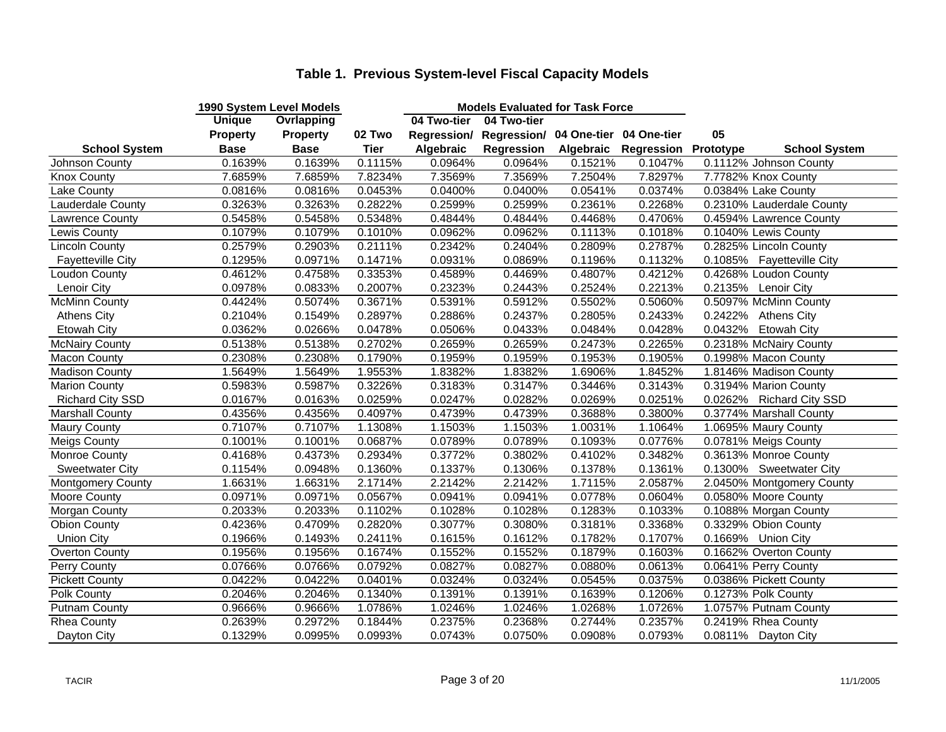|                          | 1990 System Level Models |                   |         |             | <b>Models Evaluated for Task Force</b>          |           |            |           |                           |
|--------------------------|--------------------------|-------------------|---------|-------------|-------------------------------------------------|-----------|------------|-----------|---------------------------|
|                          | <b>Unique</b>            | <b>Ovrlapping</b> |         | 04 Two-tier | 04 Two-tier                                     |           |            |           |                           |
|                          | <b>Property</b>          | <b>Property</b>   | 02 Two  |             | Regression/ Regression/ 04 One-tier 04 One-tier |           |            | 05        |                           |
| <b>School System</b>     | <b>Base</b>              | <b>Base</b>       | Tier    | Algebraic   | Regression                                      | Algebraic | Regression | Prototype | <b>School System</b>      |
| Johnson County           | 0.1639%                  | 0.1639%           | 0.1115% | 0.0964%     | 0.0964%                                         | 0.1521%   | 0.1047%    |           | 0.1112% Johnson County    |
| <b>Knox County</b>       | 7.6859%                  | 7.6859%           | 7.8234% | 7.3569%     | 7.3569%                                         | 7.2504%   | 7.8297%    |           | 7.7782% Knox County       |
| Lake County              | 0.0816%                  | 0.0816%           | 0.0453% | 0.0400%     | 0.0400%                                         | 0.0541%   | 0.0374%    |           | 0.0384% Lake County       |
| Lauderdale County        | 0.3263%                  | 0.3263%           | 0.2822% | 0.2599%     | 0.2599%                                         | 0.2361%   | 0.2268%    |           | 0.2310% Lauderdale County |
| Lawrence County          | 0.5458%                  | 0.5458%           | 0.5348% | 0.4844%     | 0.4844%                                         | 0.4468%   | 0.4706%    |           | 0.4594% Lawrence County   |
| Lewis County             | 0.1079%                  | 0.1079%           | 0.1010% | 0.0962%     | 0.0962%                                         | 0.1113%   | 0.1018%    |           | 0.1040% Lewis County      |
| <b>Lincoln County</b>    | 0.2579%                  | 0.2903%           | 0.2111% | 0.2342%     | 0.2404%                                         | 0.2809%   | 0.2787%    |           | 0.2825% Lincoln County    |
| <b>Fayetteville City</b> | 0.1295%                  | 0.0971%           | 0.1471% | 0.0931%     | 0.0869%                                         | 0.1196%   | 0.1132%    |           | 0.1085% Fayetteville City |
| Loudon County            | 0.4612%                  | 0.4758%           | 0.3353% | 0.4589%     | 0.4469%                                         | 0.4807%   | 0.4212%    |           | 0.4268% Loudon County     |
| Lenoir City              | 0.0978%                  | 0.0833%           | 0.2007% | 0.2323%     | 0.2443%                                         | 0.2524%   | 0.2213%    |           | 0.2135% Lenoir City       |
| McMinn County            | 0.4424%                  | 0.5074%           | 0.3671% | 0.5391%     | 0.5912%                                         | 0.5502%   | 0.5060%    |           | 0.5097% McMinn County     |
| <b>Athens City</b>       | 0.2104%                  | 0.1549%           | 0.2897% | 0.2886%     | 0.2437%                                         | 0.2805%   | 0.2433%    |           | 0.2422% Athens City       |
| <b>Etowah City</b>       | 0.0362%                  | 0.0266%           | 0.0478% | 0.0506%     | 0.0433%                                         | 0.0484%   | 0.0428%    | 0.0432%   | <b>Etowah City</b>        |
| <b>McNairy County</b>    | 0.5138%                  | 0.5138%           | 0.2702% | 0.2659%     | 0.2659%                                         | 0.2473%   | 0.2265%    |           | 0.2318% McNairy County    |
| <b>Macon County</b>      | 0.2308%                  | 0.2308%           | 0.1790% | 0.1959%     | 0.1959%                                         | 0.1953%   | 0.1905%    |           | 0.1998% Macon County      |
| <b>Madison County</b>    | 1.5649%                  | 1.5649%           | 1.9553% | 1.8382%     | 1.8382%                                         | 1.6906%   | 1.8452%    |           | 1.8146% Madison County    |
| <b>Marion County</b>     | 0.5983%                  | 0.5987%           | 0.3226% | 0.3183%     | 0.3147%                                         | 0.3446%   | 0.3143%    |           | 0.3194% Marion County     |
| <b>Richard City SSD</b>  | 0.0167%                  | 0.0163%           | 0.0259% | 0.0247%     | 0.0282%                                         | 0.0269%   | 0.0251%    |           | 0.0262% Richard City SSD  |
| <b>Marshall County</b>   | 0.4356%                  | 0.4356%           | 0.4097% | 0.4739%     | 0.4739%                                         | 0.3688%   | 0.3800%    |           | 0.3774% Marshall County   |
| <b>Maury County</b>      | 0.7107%                  | 0.7107%           | 1.1308% | 1.1503%     | 1.1503%                                         | 1.0031%   | 1.1064%    |           | 1.0695% Maury County      |
| <b>Meigs County</b>      | 0.1001%                  | 0.1001%           | 0.0687% | 0.0789%     | 0.0789%                                         | 0.1093%   | 0.0776%    |           | 0.0781% Meigs County      |
| <b>Monroe County</b>     | 0.4168%                  | 0.4373%           | 0.2934% | 0.3772%     | 0.3802%                                         | 0.4102%   | 0.3482%    |           | 0.3613% Monroe County     |
| <b>Sweetwater City</b>   | 0.1154%                  | 0.0948%           | 0.1360% | 0.1337%     | 0.1306%                                         | 0.1378%   | 0.1361%    |           | 0.1300% Sweetwater City   |
| <b>Montgomery County</b> | 1.6631%                  | 1.6631%           | 2.1714% | 2.2142%     | 2.2142%                                         | 1.7115%   | 2.0587%    |           | 2.0450% Montgomery County |
| Moore County             | 0.0971%                  | 0.0971%           | 0.0567% | 0.0941%     | 0.0941%                                         | 0.0778%   | 0.0604%    |           | 0.0580% Moore County      |
| Morgan County            | 0.2033%                  | 0.2033%           | 0.1102% | 0.1028%     | 0.1028%                                         | 0.1283%   | 0.1033%    |           | 0.1088% Morgan County     |
| <b>Obion County</b>      | 0.4236%                  | 0.4709%           | 0.2820% | 0.3077%     | 0.3080%                                         | 0.3181%   | 0.3368%    |           | 0.3329% Obion County      |
| <b>Union City</b>        | 0.1966%                  | 0.1493%           | 0.2411% | 0.1615%     | 0.1612%                                         | 0.1782%   | 0.1707%    |           | 0.1669% Union City        |
| Overton County           | 0.1956%                  | 0.1956%           | 0.1674% | 0.1552%     | 0.1552%                                         | 0.1879%   | 0.1603%    |           | 0.1662% Overton County    |
| Perry County             | 0.0766%                  | 0.0766%           | 0.0792% | 0.0827%     | 0.0827%                                         | 0.0880%   | 0.0613%    |           | 0.0641% Perry County      |
| <b>Pickett County</b>    | 0.0422%                  | 0.0422%           | 0.0401% | 0.0324%     | 0.0324%                                         | 0.0545%   | 0.0375%    |           | 0.0386% Pickett County    |
| Polk County              | 0.2046%                  | 0.2046%           | 0.1340% | 0.1391%     | 0.1391%                                         | 0.1639%   | 0.1206%    |           | 0.1273% Polk County       |
| <b>Putnam County</b>     | 0.9666%                  | 0.9666%           | 1.0786% | 1.0246%     | 1.0246%                                         | 1.0268%   | 1.0726%    |           | 1.0757% Putnam County     |
| <b>Rhea County</b>       | 0.2639%                  | 0.2972%           | 0.1844% | 0.2375%     | 0.2368%                                         | 0.2744%   | 0.2357%    |           | 0.2419% Rhea County       |
| Dayton City              | 0.1329%                  | 0.0995%           | 0.0993% | 0.0743%     | 0.0750%                                         | 0.0908%   | 0.0793%    |           | 0.0811% Dayton City       |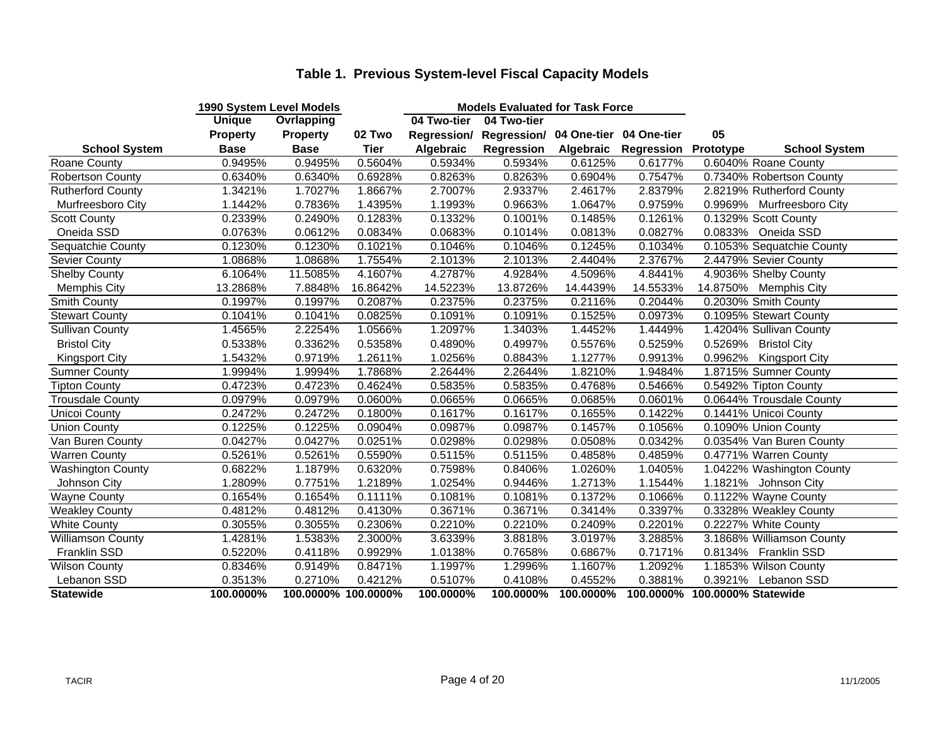|                          | 1990 System Level Models |                     |             |             | <b>Models Evaluated for Task Force</b>          |           |            |                               |                           |  |
|--------------------------|--------------------------|---------------------|-------------|-------------|-------------------------------------------------|-----------|------------|-------------------------------|---------------------------|--|
|                          | <b>Unique</b>            | <b>Ovrlapping</b>   |             | 04 Two-tier | 04 Two-tier                                     |           |            |                               |                           |  |
|                          | <b>Property</b>          | <b>Property</b>     | 02 Two      |             | Regression/ Regression/ 04 One-tier 04 One-tier |           |            | 05                            |                           |  |
| <b>School System</b>     | <b>Base</b>              | <b>Base</b>         | <b>Tier</b> | Algebraic   | <b>Regression</b>                               | Algebraic | Regression | Prototype                     | <b>School System</b>      |  |
| Roane County             | 0.9495%                  | 0.9495%             | 0.5604%     | 0.5934%     | 0.5934%                                         | 0.6125%   | 0.6177%    |                               | 0.6040% Roane County      |  |
| <b>Robertson County</b>  | 0.6340%                  | 0.6340%             | 0.6928%     | 0.8263%     | 0.8263%                                         | 0.6904%   | 0.7547%    |                               | 0.7340% Robertson County  |  |
| <b>Rutherford County</b> | 1.3421%                  | 1.7027%             | 1.8667%     | 2.7007%     | 2.9337%                                         | 2.4617%   | 2.8379%    |                               | 2.8219% Rutherford County |  |
| Murfreesboro City        | 1.1442%                  | 0.7836%             | 1.4395%     | 1.1993%     | 0.9663%                                         | 1.0647%   | 0.9759%    |                               | 0.9969% Murfreesboro City |  |
| <b>Scott County</b>      | 0.2339%                  | 0.2490%             | 0.1283%     | 0.1332%     | 0.1001%                                         | 0.1485%   | 0.1261%    |                               | 0.1329% Scott County      |  |
| Oneida SSD               | 0.0763%                  | 0.0612%             | 0.0834%     | 0.0683%     | 0.1014%                                         | 0.0813%   | 0.0827%    |                               | 0.0833% Oneida SSD        |  |
| Sequatchie County        | 0.1230%                  | 0.1230%             | 0.1021%     | 0.1046%     | 0.1046%                                         | 0.1245%   | 0.1034%    |                               | 0.1053% Sequatchie County |  |
| Sevier County            | 1.0868%                  | 1.0868%             | 1.7554%     | 2.1013%     | 2.1013%                                         | 2.4404%   | 2.3767%    |                               | 2.4479% Sevier County     |  |
| <b>Shelby County</b>     | 6.1064%                  | 11.5085%            | 4.1607%     | 4.2787%     | 4.9284%                                         | 4.5096%   | 4.8441%    |                               | 4.9036% Shelby County     |  |
| <b>Memphis City</b>      | 13.2868%                 | 7.8848%             | 16.8642%    | 14.5223%    | 13.8726%                                        | 14.4439%  | 14.5533%   |                               | 14.8750% Memphis City     |  |
| Smith County             | 0.1997%                  | 0.1997%             | 0.2087%     | 0.2375%     | 0.2375%                                         | 0.2116%   | 0.2044%    |                               | 0.2030% Smith County      |  |
| <b>Stewart County</b>    | 0.1041%                  | 0.1041%             | 0.0825%     | 0.1091%     | 0.1091%                                         | 0.1525%   | 0.0973%    |                               | 0.1095% Stewart County    |  |
| <b>Sullivan County</b>   | 1.4565%                  | 2.2254%             | 1.0566%     | 1.2097%     | 1.3403%                                         | 1.4452%   | 1.4449%    |                               | 1.4204% Sullivan County   |  |
| <b>Bristol City</b>      | 0.5338%                  | 0.3362%             | 0.5358%     | 0.4890%     | 0.4997%                                         | 0.5576%   | 0.5259%    | 0.5269%                       | <b>Bristol City</b>       |  |
| <b>Kingsport City</b>    | 1.5432%                  | 0.9719%             | 1.2611%     | 1.0256%     | 0.8843%                                         | 1.1277%   | 0.9913%    | 0.9962%                       | <b>Kingsport City</b>     |  |
| Sumner County            | 1.9994%                  | 1.9994%             | 1.7868%     | 2.2644%     | 2.2644%                                         | 1.8210%   | 1.9484%    |                               | 1.8715% Sumner County     |  |
| <b>Tipton County</b>     | 0.4723%                  | 0.4723%             | 0.4624%     | 0.5835%     | 0.5835%                                         | 0.4768%   | 0.5466%    |                               | 0.5492% Tipton County     |  |
| <b>Trousdale County</b>  | 0.0979%                  | 0.0979%             | 0.0600%     | 0.0665%     | 0.0665%                                         | 0.0685%   | 0.0601%    |                               | 0.0644% Trousdale County  |  |
| <b>Unicoi County</b>     | 0.2472%                  | 0.2472%             | 0.1800%     | 0.1617%     | 0.1617%                                         | 0.1655%   | 0.1422%    |                               | 0.1441% Unicoi County     |  |
| <b>Union County</b>      | 0.1225%                  | 0.1225%             | 0.0904%     | 0.0987%     | 0.0987%                                         | 0.1457%   | 0.1056%    |                               | 0.1090% Union County      |  |
| Van Buren County         | 0.0427%                  | 0.0427%             | 0.0251%     | 0.0298%     | 0.0298%                                         | 0.0508%   | 0.0342%    |                               | 0.0354% Van Buren County  |  |
| <b>Warren County</b>     | 0.5261%                  | 0.5261%             | 0.5590%     | 0.5115%     | 0.5115%                                         | 0.4858%   | 0.4859%    |                               | 0.4771% Warren County     |  |
| <b>Washington County</b> | 0.6822%                  | 1.1879%             | 0.6320%     | 0.7598%     | 0.8406%                                         | 1.0260%   | 1.0405%    |                               | 1.0422% Washington County |  |
| Johnson City             | 1.2809%                  | 0.7751%             | 1.2189%     | 1.0254%     | 0.9446%                                         | 1.2713%   | 1.1544%    |                               | 1.1821% Johnson City      |  |
| <b>Wayne County</b>      | 0.1654%                  | 0.1654%             | 0.1111%     | 0.1081%     | 0.1081%                                         | 0.1372%   | 0.1066%    |                               | 0.1122% Wayne County      |  |
| <b>Weakley County</b>    | 0.4812%                  | 0.4812%             | 0.4130%     | 0.3671%     | 0.3671%                                         | 0.3414%   | 0.3397%    |                               | 0.3328% Weakley County    |  |
| <b>White County</b>      | 0.3055%                  | 0.3055%             | 0.2306%     | 0.2210%     | 0.2210%                                         | 0.2409%   | 0.2201%    |                               | 0.2227% White County      |  |
| Williamson County        | 1.4281%                  | 1.5383%             | 2.3000%     | 3.6339%     | 3.8818%                                         | 3.0197%   | 3.2885%    |                               | 3.1868% Williamson County |  |
| Franklin SSD             | 0.5220%                  | 0.4118%             | 0.9929%     | 1.0138%     | 0.7658%                                         | 0.6867%   | 0.7171%    |                               | 0.8134% Franklin SSD      |  |
| <b>Wilson County</b>     | 0.8346%                  | 0.9149%             | 0.8471%     | 1.1997%     | 1.2996%                                         | 1.1607%   | 1.2092%    |                               | 1.1853% Wilson County     |  |
| Lebanon SSD              | 0.3513%                  | 0.2710%             | 0.4212%     | 0.5107%     | 0.4108%                                         | 0.4552%   | 0.3881%    |                               | 0.3921% Lebanon SSD       |  |
| <b>Statewide</b>         | 100.0000%                | 100.0000% 100.0000% |             | 100.0000%   | 100.0000%                                       | 100.0000% |            | 100.0000% 100.0000% Statewide |                           |  |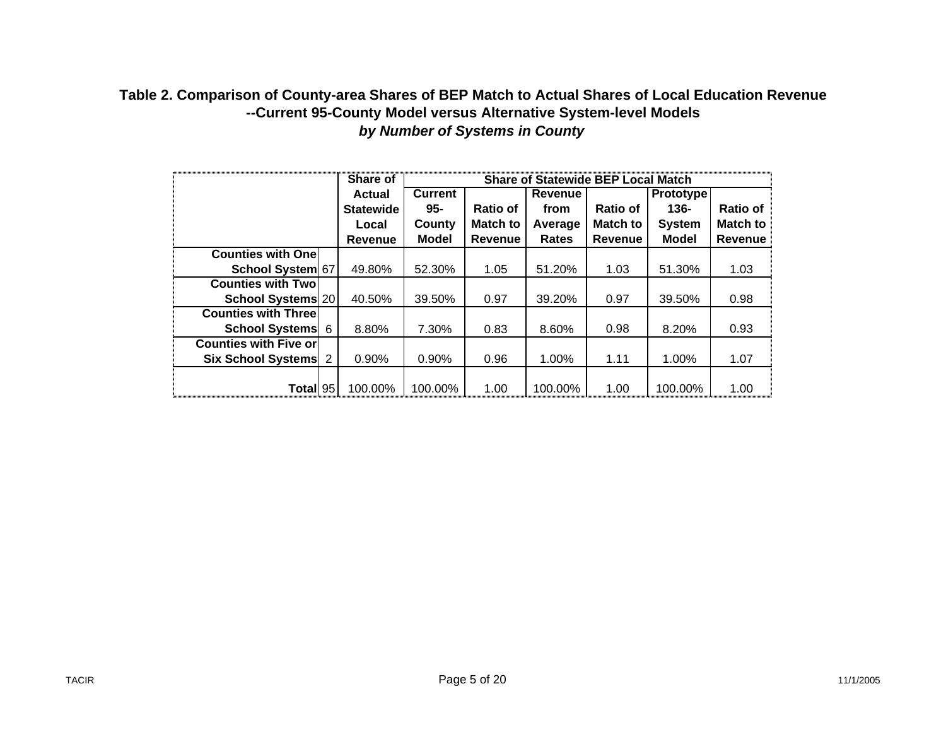## **Table 2. Comparison of County-area Shares of BEP Match to Actual Shares of Local Education Revenue --Current 95-County Model versus Alternative System-level Models** *by Number of Systems in County*

|                              |   | Share of         | <b>Share of Statewide BEP Local Match</b> |                 |                |                 |                  |                 |  |
|------------------------------|---|------------------|-------------------------------------------|-----------------|----------------|-----------------|------------------|-----------------|--|
|                              |   | Actual           | <b>Current</b>                            |                 | <b>Revenue</b> |                 | <b>Prototype</b> |                 |  |
|                              |   | <b>Statewide</b> | 95-                                       | Ratio of        | from           | <b>Ratio of</b> | $136 -$          | <b>Ratio of</b> |  |
|                              |   | Local            | County                                    | <b>Match to</b> | Average        | <b>Match to</b> | <b>System</b>    | Match to        |  |
|                              |   | <b>Revenue</b>   | <b>Model</b>                              | <b>Revenue</b>  | Rates          | Revenue         | <b>Model</b>     | Revenue         |  |
| <b>Counties with One</b>     |   |                  |                                           |                 |                |                 |                  |                 |  |
| School System 67             |   | 49.80%           | 52.30%                                    | 1.05            | 51.20%         | 1.03            | 51.30%           | 1.03            |  |
| <b>Counties with Twol</b>    |   |                  |                                           |                 |                |                 |                  |                 |  |
| School Systems 20            |   | 40.50%           | 39.50%                                    | 0.97            | 39.20%         | 0.97            | 39.50%           | 0.98            |  |
| <b>Counties with Three</b>   |   |                  |                                           |                 |                |                 |                  |                 |  |
| School Systems 6             |   | 8.80%            | 7.30%                                     | 0.83            | 8.60%          | 0.98            | 8.20%            | 0.93            |  |
| <b>Counties with Five or</b> |   |                  |                                           |                 |                |                 |                  |                 |  |
| <b>Six School Systems</b>    | 2 | 0.90%            | 0.90%                                     | 0.96            | 1.00%          | 1.11            | 1.00%            | 1.07            |  |
|                              |   |                  |                                           |                 |                |                 |                  |                 |  |
| Total 95                     |   | 100.00%          | 100.00%                                   | 1.00            | 100.00%        | 1.00            | 100.00%          | 1.00            |  |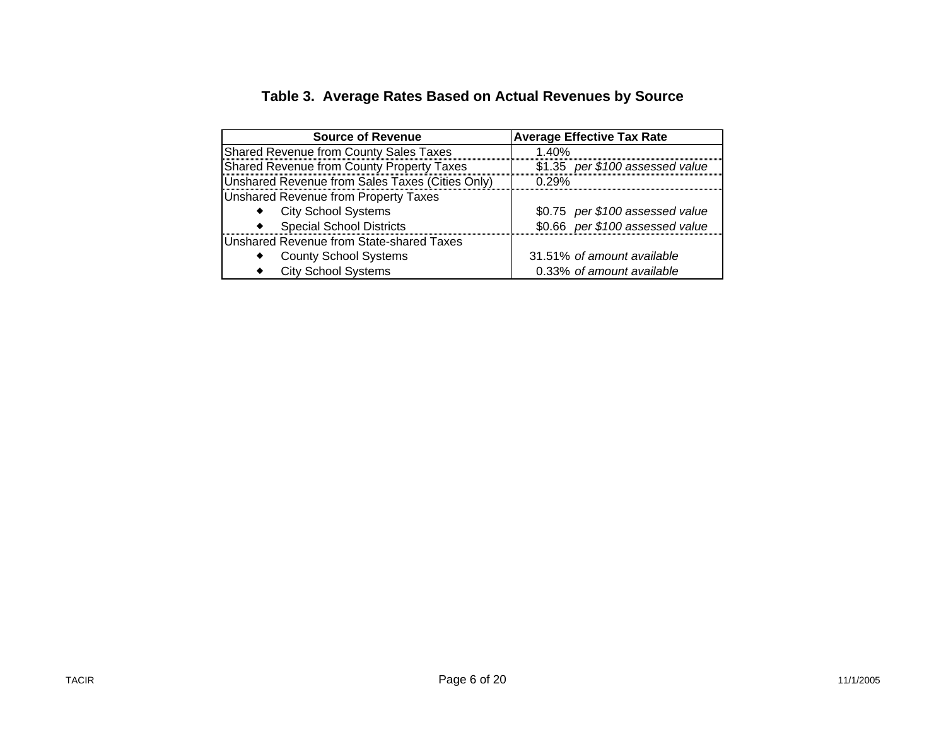| <b>Source of Revenue</b>                        | <b>Average Effective Tax Rate</b> |
|-------------------------------------------------|-----------------------------------|
| Shared Revenue from County Sales Taxes          | 1.40%                             |
| Shared Revenue from County Property Taxes       | \$1.35 per \$100 assessed value   |
| Unshared Revenue from Sales Taxes (Cities Only) | 0.29%                             |
| Unshared Revenue from Property Taxes            |                                   |
| <b>City School Systems</b>                      | \$0.75 per \$100 assessed value   |
| <b>Special School Districts</b>                 | \$0.66 per \$100 assessed value   |
| Unshared Revenue from State-shared Taxes        |                                   |
| <b>County School Systems</b>                    | 31.51% of amount available        |
| <b>City School Systems</b>                      | 0.33% of amount available         |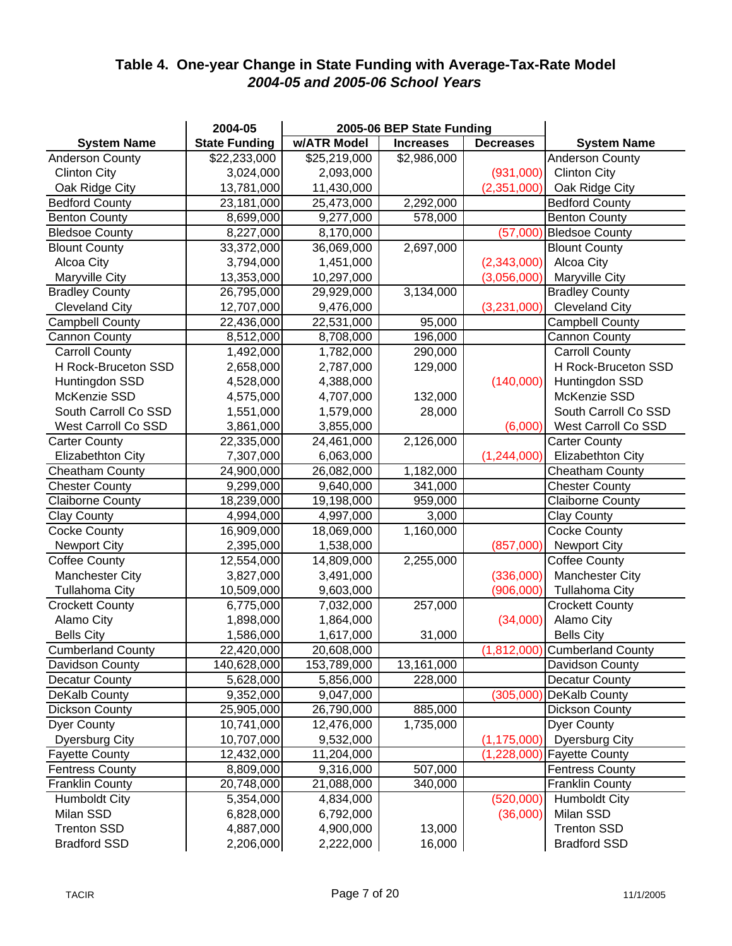## **Table 4. One-year Change in State Funding with Average-Tax-Rate Model** *2004-05 and 2005-06 School Years*

|                          | 2004-05              |              | 2005-06 BEP State Funding |                  |                               |
|--------------------------|----------------------|--------------|---------------------------|------------------|-------------------------------|
| <b>System Name</b>       | <b>State Funding</b> | w/ATR Model  | <b>Increases</b>          | <b>Decreases</b> | <b>System Name</b>            |
| <b>Anderson County</b>   | \$22,233,000         | \$25,219,000 | \$2,986,000               |                  | Anderson County               |
| <b>Clinton City</b>      | 3,024,000            | 2,093,000    |                           | (931,000)        | <b>Clinton City</b>           |
| Oak Ridge City           | 13,781,000           | 11,430,000   |                           | (2,351,000)      | Oak Ridge City                |
| <b>Bedford County</b>    | 23,181,000           | 25,473,000   | 2,292,000                 |                  | <b>Bedford County</b>         |
| <b>Benton County</b>     | 8,699,000            | 9,277,000    | 578,000                   |                  | <b>Benton County</b>          |
| <b>Bledsoe County</b>    | 8,227,000            | 8,170,000    |                           | (57,000)         | <b>Bledsoe County</b>         |
| <b>Blount County</b>     | 33,372,000           | 36,069,000   | 2,697,000                 |                  | <b>Blount County</b>          |
| Alcoa City               | 3,794,000            | 1,451,000    |                           | (2,343,000)      | Alcoa City                    |
| Maryville City           | 13,353,000           | 10,297,000   |                           | (3,056,000)      | Maryville City                |
| <b>Bradley County</b>    | 26,795,000           | 29,929,000   | 3,134,000                 |                  | <b>Bradley County</b>         |
| <b>Cleveland City</b>    | 12,707,000           | 9,476,000    |                           | (3,231,000)      | <b>Cleveland City</b>         |
| <b>Campbell County</b>   | 22,436,000           | 22,531,000   | 95,000                    |                  | <b>Campbell County</b>        |
| <b>Cannon County</b>     | 8,512,000            | 8,708,000    | 196,000                   |                  | <b>Cannon County</b>          |
| <b>Carroll County</b>    | 1,492,000            | 1,782,000    | 290,000                   |                  | <b>Carroll County</b>         |
| H Rock-Bruceton SSD      | 2,658,000            | 2,787,000    | 129,000                   |                  | H Rock-Bruceton SSD           |
| Huntingdon SSD           | 4,528,000            | 4,388,000    |                           | (140,000)        | Huntingdon SSD                |
| McKenzie SSD             | 4,575,000            | 4,707,000    | 132,000                   |                  | McKenzie SSD                  |
| South Carroll Co SSD     | 1,551,000            | 1,579,000    | 28,000                    |                  | South Carroll Co SSD          |
| West Carroll Co SSD      | 3,861,000            | 3,855,000    |                           | (6,000)          | West Carroll Co SSD           |
| <b>Carter County</b>     | 22,335,000           | 24,461,000   | 2,126,000                 |                  | <b>Carter County</b>          |
| Elizabethton City        | 7,307,000            | 6,063,000    |                           | (1,244,000)      | <b>Elizabethton City</b>      |
| <b>Cheatham County</b>   | 24,900,000           | 26,082,000   | 1,182,000                 |                  | <b>Cheatham County</b>        |
| <b>Chester County</b>    | 9,299,000            | 9,640,000    | 341,000                   |                  | <b>Chester County</b>         |
| <b>Claiborne County</b>  | 18,239,000           | 19,198,000   | 959,000                   |                  | <b>Claiborne County</b>       |
| <b>Clay County</b>       | 4,994,000            | 4,997,000    | 3,000                     |                  | <b>Clay County</b>            |
| <b>Cocke County</b>      | 16,909,000           | 18,069,000   | 1,160,000                 |                  | <b>Cocke County</b>           |
| <b>Newport City</b>      | 2,395,000            | 1,538,000    |                           | (857,000)        | <b>Newport City</b>           |
| <b>Coffee County</b>     | 12,554,000           | 14,809,000   | 2,255,000                 |                  | Coffee County                 |
| <b>Manchester City</b>   | 3,827,000            | 3,491,000    |                           | (336,000)        | <b>Manchester City</b>        |
| <b>Tullahoma City</b>    | 10,509,000           | 9,603,000    |                           | (906,000)        | <b>Tullahoma City</b>         |
| <b>Crockett County</b>   | 6,775,000            | 7,032,000    | 257,000                   |                  | <b>Crockett County</b>        |
| Alamo City               | 1,898,000            | 1,864,000    |                           | (34,000)         | Alamo City                    |
| <b>Bells City</b>        | 1,586,000            | 1,617,000    | 31,000                    |                  | <b>Bells City</b>             |
| <b>Cumberland County</b> | 22,420,000           | 20,608,000   |                           |                  | (1,812,000) Cumberland County |
| Davidson County          | 140,628,000          | 153,789,000  | 13,161,000                |                  | Davidson County               |
| <b>Decatur County</b>    | 5,628,000            | 5,856,000    | 228,000                   |                  | <b>Decatur County</b>         |
| DeKalb County            | 9,352,000            | 9,047,000    |                           | (305,000)        | DeKalb County                 |
| <b>Dickson County</b>    | 25,905,000           | 26,790,000   | 885,000                   |                  | <b>Dickson County</b>         |
| <b>Dyer County</b>       | 10,741,000           | 12,476,000   | 1,735,000                 |                  | Dyer County                   |
| <b>Dyersburg City</b>    | 10,707,000           | 9,532,000    |                           | (1, 175, 000)    | <b>Dyersburg City</b>         |
| <b>Fayette County</b>    | 12,432,000           | 11,204,000   |                           | (1,228,000)      | <b>Fayette County</b>         |
| <b>Fentress County</b>   | 8,809,000            | 9,316,000    | 507,000                   |                  | <b>Fentress County</b>        |
| <b>Franklin County</b>   | 20,748,000           | 21,088,000   | 340,000                   |                  | <b>Franklin County</b>        |
| <b>Humboldt City</b>     | 5,354,000            | 4,834,000    |                           | (520,000)        | <b>Humboldt City</b>          |
| Milan SSD                | 6,828,000            | 6,792,000    |                           | (36,000)         | Milan SSD                     |
| <b>Trenton SSD</b>       | 4,887,000            | 4,900,000    | 13,000                    |                  | <b>Trenton SSD</b>            |
| <b>Bradford SSD</b>      | 2,206,000            | 2,222,000    | 16,000                    |                  | <b>Bradford SSD</b>           |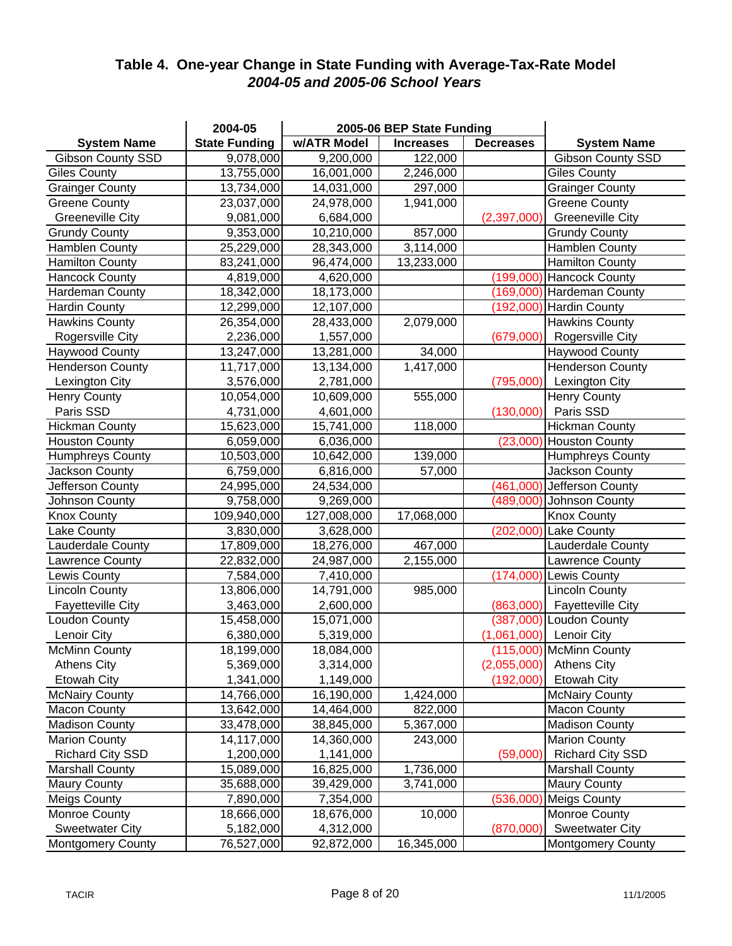## **Table 4. One-year Change in State Funding with Average-Tax-Rate Model** *2004-05 and 2005-06 School Years*

|                          | 2004-05              |             | 2005-06 BEP State Funding |                  |                            |
|--------------------------|----------------------|-------------|---------------------------|------------------|----------------------------|
| <b>System Name</b>       | <b>State Funding</b> | w/ATR Model | <b>Increases</b>          | <b>Decreases</b> | <b>System Name</b>         |
| <b>Gibson County SSD</b> | 9,078,000            | 9,200,000   | 122,000                   |                  | <b>Gibson County SSD</b>   |
| <b>Giles County</b>      | 13,755,000           | 16,001,000  | 2,246,000                 |                  | <b>Giles County</b>        |
| <b>Grainger County</b>   | 13,734,000           | 14,031,000  | 297,000                   |                  | <b>Grainger County</b>     |
| <b>Greene County</b>     | 23,037,000           | 24,978,000  | 1,941,000                 |                  | <b>Greene County</b>       |
| <b>Greeneville City</b>  | 9,081,000            | 6,684,000   |                           | (2,397,000)      | <b>Greeneville City</b>    |
| <b>Grundy County</b>     | 9,353,000            | 10,210,000  | 857,000                   |                  | <b>Grundy County</b>       |
| <b>Hamblen County</b>    | 25,229,000           | 28,343,000  | $\overline{3,}114,000$    |                  | <b>Hamblen County</b>      |
| <b>Hamilton County</b>   | 83,241,000           | 96,474,000  | 13,233,000                |                  | <b>Hamilton County</b>     |
| <b>Hancock County</b>    | 4,819,000            | 4,620,000   |                           | (199,000)        | <b>Hancock County</b>      |
| Hardeman County          | 18,342,000           | 18,173,000  |                           |                  | (169,000) Hardeman County  |
| <b>Hardin County</b>     | 12,299,000           | 12,107,000  |                           | (192,000)        | Hardin County              |
| <b>Hawkins County</b>    | 26,354,000           | 28,433,000  | 2,079,000                 |                  | <b>Hawkins County</b>      |
| Rogersville City         | 2,236,000            | 1,557,000   |                           | (679,000)        | Rogersville City           |
| <b>Haywood County</b>    | 13,247,000           | 13,281,000  | 34,000                    |                  | <b>Haywood County</b>      |
| <b>Henderson County</b>  | 11,717,000           | 13,134,000  | 1,417,000                 |                  | <b>Henderson County</b>    |
| Lexington City           | 3,576,000            | 2,781,000   |                           | (795,000)        | Lexington City             |
| <b>Henry County</b>      | 10,054,000           | 10,609,000  | 555,000                   |                  | <b>Henry County</b>        |
| Paris SSD                | 4,731,000            | 4,601,000   |                           | (130,000)        | Paris SSD                  |
| <b>Hickman County</b>    | 15,623,000           | 15,741,000  | 118,000                   |                  | <b>Hickman County</b>      |
| <b>Houston County</b>    | 6,059,000            | 6,036,000   |                           | (23,000)         | <b>Houston County</b>      |
| <b>Humphreys County</b>  | 10,503,000           | 10,642,000  | 139,000                   |                  | <b>Humphreys County</b>    |
| Jackson County           | 6,759,000            | 6,816,000   | 57,000                    |                  | Jackson County             |
| Jefferson County         | 24,995,000           | 24,534,000  |                           |                  | (461,000) Jefferson County |
| Johnson County           | 9,758,000            | 9,269,000   |                           |                  | (489,000) Johnson County   |
| <b>Knox County</b>       | 109,940,000          | 127,008,000 | 17,068,000                |                  | <b>Knox County</b>         |
| Lake County              | 3,830,000            | 3,628,000   |                           | (202,000)        | <b>Lake County</b>         |
| Lauderdale County        | 17,809,000           | 18,276,000  | 467,000                   |                  | Lauderdale County          |
| Lawrence County          | 22,832,000           | 24,987,000  | 2,155,000                 |                  | Lawrence County            |
| Lewis County             | 7,584,000            | 7,410,000   |                           | (174,000)        | Lewis County               |
| <b>Lincoln County</b>    | 13,806,000           | 14,791,000  | 985,000                   |                  | <b>Lincoln County</b>      |
| <b>Fayetteville City</b> | 3,463,000            | 2,600,000   |                           | (863,000)        | Fayetteville City          |
| Loudon County            | 15,458,000           | 15,071,000  |                           | (387,000)        | <b>Loudon County</b>       |
| Lenoir City              | 6,380,000            | 5,319,000   |                           | (1,061,000)      | Lenoir City                |
| <b>McMinn County</b>     | 18,199,000           | 18,084,000  |                           |                  | (115,000) McMinn County    |
| <b>Athens City</b>       | 5,369,000            | 3,314,000   |                           | (2,055,000)      | <b>Athens City</b>         |
| <b>Etowah City</b>       | 1,341,000            | 1,149,000   |                           | (192,000)        | <b>Etowah City</b>         |
| <b>McNairy County</b>    | 14,766,000           | 16,190,000  | 1,424,000                 |                  | <b>McNairy County</b>      |
| <b>Macon County</b>      | 13,642,000           | 14,464,000  | 822,000                   |                  | <b>Macon County</b>        |
| <b>Madison County</b>    | 33,478,000           | 38,845,000  | 5,367,000                 |                  | <b>Madison County</b>      |
| <b>Marion County</b>     | 14,117,000           | 14,360,000  | 243,000                   |                  | <b>Marion County</b>       |
| <b>Richard City SSD</b>  | 1,200,000            | 1,141,000   |                           | (59,000)         | <b>Richard City SSD</b>    |
| <b>Marshall County</b>   | 15,089,000           | 16,825,000  | 1,736,000                 |                  | <b>Marshall County</b>     |
| <b>Maury County</b>      | 35,688,000           | 39,429,000  | 3,741,000                 |                  | <b>Maury County</b>        |
| <b>Meigs County</b>      | 7,890,000            | 7,354,000   |                           | (536,000)        | <b>Meigs County</b>        |
| Monroe County            | 18,666,000           | 18,676,000  | 10,000                    |                  | Monroe County              |
| <b>Sweetwater City</b>   | 5,182,000            | 4,312,000   |                           | (870,000)        | <b>Sweetwater City</b>     |
| <b>Montgomery County</b> | 76,527,000           | 92,872,000  | 16,345,000                |                  | <b>Montgomery County</b>   |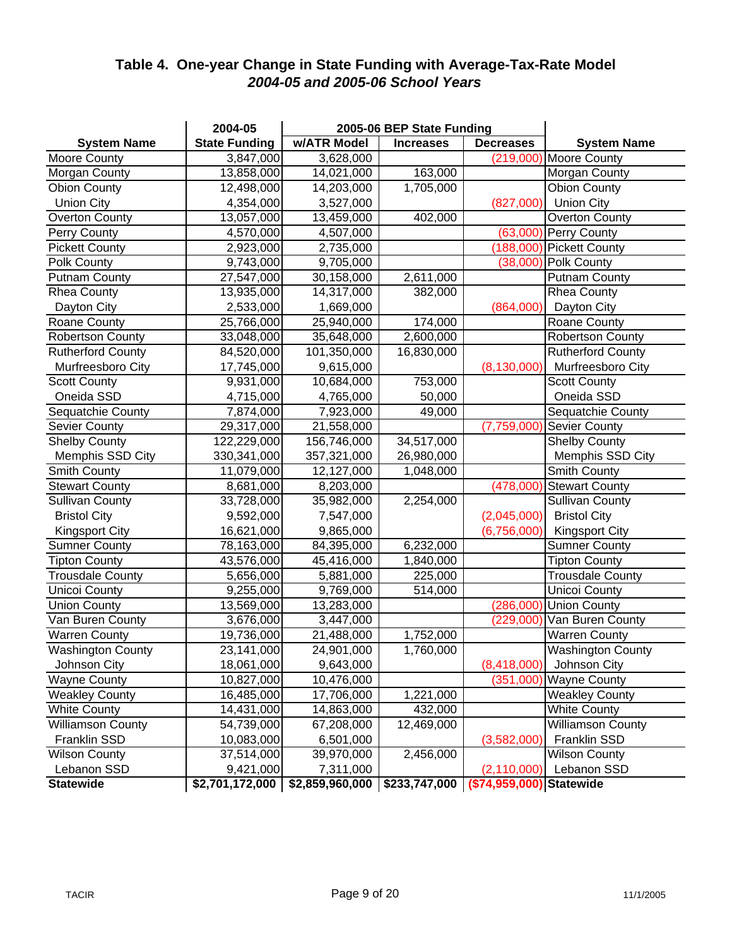## **Table 4. One-year Change in State Funding with Average-Tax-Rate Model** *2004-05 and 2005-06 School Years*

|                          | 2004-05              |                 | 2005-06 BEP State Funding |                          |                          |
|--------------------------|----------------------|-----------------|---------------------------|--------------------------|--------------------------|
| <b>System Name</b>       | <b>State Funding</b> | w/ATR Model     | <b>Increases</b>          | <b>Decreases</b>         | <b>System Name</b>       |
| Moore County             | 3,847,000            | 3,628,000       |                           | (219,000)                | <b>Moore County</b>      |
| Morgan County            | 13,858,000           | 14,021,000      | 163,000                   |                          | Morgan County            |
| Obion County             | 12,498,000           | 14,203,000      | 1,705,000                 |                          | Obion County             |
| <b>Union City</b>        | 4,354,000            | 3,527,000       |                           |                          | (827,000) Union City     |
| <b>Overton County</b>    | 13,057,000           | 13,459,000      | 402,000                   |                          | <b>Overton County</b>    |
| Perry County             | 4,570,000            | 4,507,000       |                           |                          | (63,000) Perry County    |
| <b>Pickett County</b>    | 2,923,000            | 2,735,000       |                           |                          | (188,000) Pickett County |
| Polk County              | 9,743,000            | 9,705,000       |                           | (38,000)                 | <b>Polk County</b>       |
| <b>Putnam County</b>     | 27,547,000           | 30,158,000      | 2,611,000                 |                          | <b>Putnam County</b>     |
| <b>Rhea County</b>       | 13,935,000           | 14,317,000      | 382,000                   |                          | <b>Rhea County</b>       |
| Dayton City              | 2,533,000            | 1,669,000       |                           | (864,000)                | Dayton City              |
| Roane County             | 25,766,000           | 25,940,000      | 174,000                   |                          | Roane County             |
| <b>Robertson County</b>  | 33,048,000           | 35,648,000      | 2,600,000                 |                          | <b>Robertson County</b>  |
| <b>Rutherford County</b> | 84,520,000           | 101,350,000     | 16,830,000                |                          | <b>Rutherford County</b> |
| Murfreesboro City        | 17,745,000           | 9,615,000       |                           | (8, 130, 000)            | Murfreesboro City        |
| <b>Scott County</b>      | 9,931,000            | 10,684,000      | 753,000                   |                          | <b>Scott County</b>      |
| Oneida SSD               | 4,715,000            | 4,765,000       | 50,000                    |                          | Oneida SSD               |
| Sequatchie County        | 7,874,000            | 7,923,000       | 49,000                    |                          | Sequatchie County        |
| Sevier County            | 29,317,000           | 21,558,000      |                           | (7,759,000)              | Sevier County            |
| <b>Shelby County</b>     | 122,229,000          | 156,746,000     | 34,517,000                |                          | <b>Shelby County</b>     |
| Memphis SSD City         | 330, 341, 000        | 357,321,000     | 26,980,000                |                          | Memphis SSD City         |
| Smith County             | 11,079,000           | 12,127,000      | 1,048,000                 |                          | Smith County             |
| <b>Stewart County</b>    | 8,681,000            | 8,203,000       |                           | (478,000)                | <b>Stewart County</b>    |
| <b>Sullivan County</b>   | 33,728,000           | 35,982,000      | 2,254,000                 |                          | <b>Sullivan County</b>   |
| <b>Bristol City</b>      | 9,592,000            | 7,547,000       |                           | (2,045,000)              | <b>Bristol City</b>      |
| <b>Kingsport City</b>    | 16,621,000           | 9,865,000       |                           | (6,756,000)              | <b>Kingsport City</b>    |
| <b>Sumner County</b>     | 78,163,000           | 84,395,000      | 6,232,000                 |                          | <b>Sumner County</b>     |
| <b>Tipton County</b>     | 43,576,000           | 45,416,000      | 1,840,000                 |                          | <b>Tipton County</b>     |
| <b>Trousdale County</b>  | 5,656,000            | 5,881,000       | 225,000                   |                          | <b>Trousdale County</b>  |
| Unicoi County            | 9,255,000            | 9,769,000       | 514,000                   |                          | Unicoi County            |
| <b>Union County</b>      | 13,569,000           | 13,283,000      |                           | (286,000)                | <b>Union County</b>      |
| Van Buren County         | 3,676,000            | 3,447,000       |                           | (229,000)                | Van Buren County         |
| <b>Warren County</b>     | 19,736,000           | 21,488,000      | 1,752,000                 |                          | <b>Warren County</b>     |
| <b>Washington County</b> | 23,141,000           | 24,901,000      | 1,760,000                 |                          | <b>Washington County</b> |
| Johnson City             | 18,061,000           | 9,643,000       |                           | (8,418,000)              | Johnson City             |
| <b>Wayne County</b>      | 10,827,000           | 10,476,000      |                           | (351,000)                | <b>Wayne County</b>      |
| <b>Weakley County</b>    | 16,485,000           | 17,706,000      | 1,221,000                 |                          | <b>Weakley County</b>    |
| <b>White County</b>      | 14,431,000           | 14,863,000      | 432,000                   |                          | <b>White County</b>      |
| <b>Williamson County</b> | 54,739,000           | 67,208,000      | 12,469,000                |                          | <b>Williamson County</b> |
| Franklin SSD             | 10,083,000           | 6,501,000       |                           | (3,582,000)              | Franklin SSD             |
| <b>Wilson County</b>     | 37,514,000           | 39,970,000      | 2,456,000                 |                          | Wilson County            |
| Lebanon SSD              | 9,421,000            | 7,311,000       |                           | (2, 110, 000)            | Lebanon SSD              |
| <b>Statewide</b>         | \$2,701,172,000      | \$2,859,960,000 | \$233,747,000             | (\$74,959,000) Statewide |                          |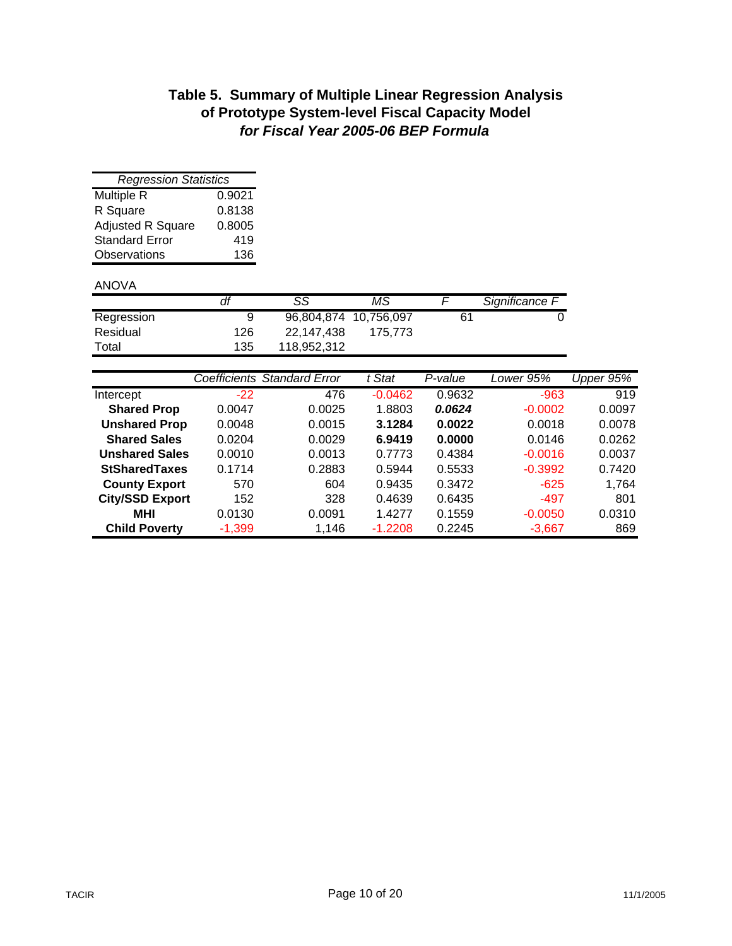# **Table 5. Summary of Multiple Linear Regression Analysis of Prototype System-level Fiscal Capacity Model** *for Fiscal Year 2005-06 BEP Formula*

| <b>Regression Statistics</b> |        |  |  |  |  |  |  |
|------------------------------|--------|--|--|--|--|--|--|
| Multiple R                   | 0.9021 |  |  |  |  |  |  |
| R Square                     | 0.8138 |  |  |  |  |  |  |
| <b>Adjusted R Square</b>     | 0.8005 |  |  |  |  |  |  |
| <b>Standard Error</b>        | 419    |  |  |  |  |  |  |
| <b>Observations</b>          | 136    |  |  |  |  |  |  |

### ANOVA

|            |     | SS                    | ΜS      |    | Significance F |
|------------|-----|-----------------------|---------|----|----------------|
| Regression | 9   | 96,804,874 10,756,097 |         | 61 |                |
| Residual   | 126 | 22.147.438            | 175.773 |    |                |
| Total      | 135 | 118,952,312           |         |    |                |

|                        |          | Coefficients Standard Error | t Stat    | P-value | Lower 95% | Upper $95\%$ |
|------------------------|----------|-----------------------------|-----------|---------|-----------|--------------|
| Intercept              | $-22$    | 476                         | $-0.0462$ | 0.9632  | $-963$    | 919          |
| <b>Shared Prop</b>     | 0.0047   | 0.0025                      | 1.8803    | 0.0624  | $-0.0002$ | 0.0097       |
| <b>Unshared Prop</b>   | 0.0048   | 0.0015                      | 3.1284    | 0.0022  | 0.0018    | 0.0078       |
| <b>Shared Sales</b>    | 0.0204   | 0.0029                      | 6.9419    | 0.0000  | 0.0146    | 0.0262       |
| <b>Unshared Sales</b>  | 0.0010   | 0.0013                      | 0.7773    | 0.4384  | $-0.0016$ | 0.0037       |
| <b>StSharedTaxes</b>   | 0.1714   | 0.2883                      | 0.5944    | 0.5533  | $-0.3992$ | 0.7420       |
| <b>County Export</b>   | 570      | 604                         | 0.9435    | 0.3472  | $-625$    | 1,764        |
| <b>City/SSD Export</b> | 152      | 328                         | 0.4639    | 0.6435  | $-497$    | 801          |
| <b>MHI</b>             | 0.0130   | 0.0091                      | 1.4277    | 0.1559  | $-0.0050$ | 0.0310       |
| <b>Child Poverty</b>   | $-1,399$ | 1.146                       | $-1.2208$ | 0.2245  | $-3,667$  | 869          |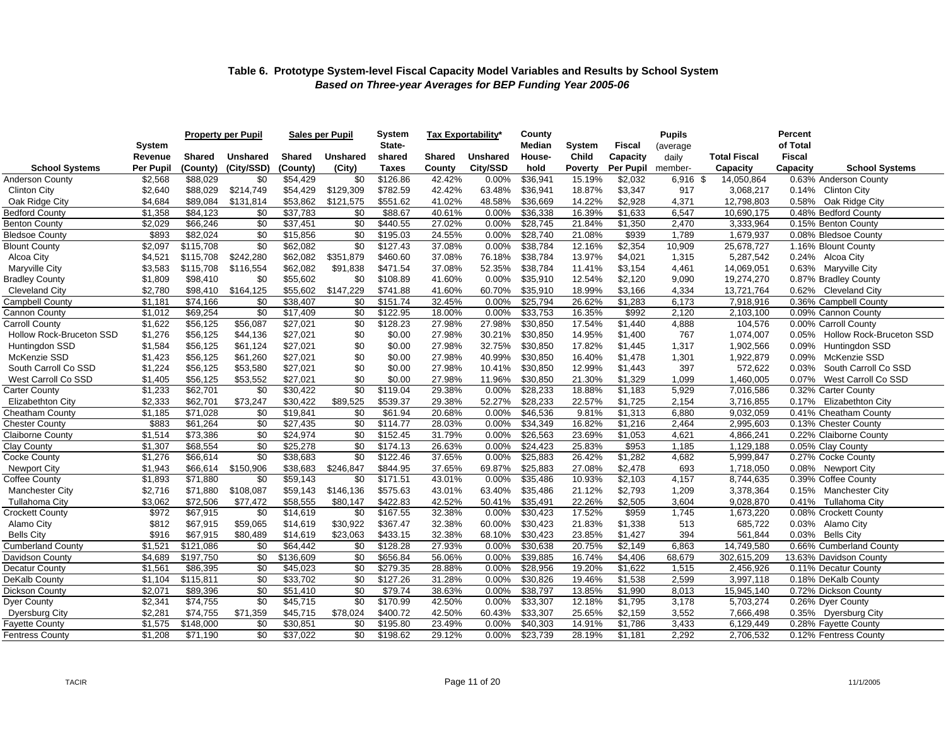|                          |                   | <b>Property per Pupil</b> |            | <b>Sales per Pupil</b> |                 | System<br>State- |        | Tax Exportabilitv* | County                  |                 | <b>Pupils</b><br><b>Fiscal</b> |                   | <b>Percent</b><br>of Total |                  |                                |
|--------------------------|-------------------|---------------------------|------------|------------------------|-----------------|------------------|--------|--------------------|-------------------------|-----------------|--------------------------------|-------------------|----------------------------|------------------|--------------------------------|
|                          | System<br>Revenue | <b>Shared</b>             | Unshared   | Shared                 | <b>Unshared</b> | shared           | Shared | <b>Unshared</b>    | <b>Median</b><br>House- | System<br>Child | Capacity                       | (average<br>daily | <b>Total Fiscal</b>        | <b>Fiscal</b>    |                                |
| <b>School Systems</b>    | <b>Per Pupil</b>  | (County)                  | (City/SSD) | (County)               | (City)          | <b>Taxes</b>     | County | City/SSD           | hold                    | <b>Poverty</b>  | Per Pupil                      | member-           | Capacity                   | Capacity         | <b>School Systems</b>          |
| Anderson County          | \$2,568           | \$88,029                  | \$0        | \$54,429               | \$0             | \$126.86         | 42.42% | 0.00%              | \$36,941                | 15.19%          | \$2,032                        | 6,916 \$          | 14,050,864                 |                  | 0.63% Anderson County          |
| <b>Clinton City</b>      | \$2,640           | \$88,029                  | \$214,749  | \$54,429               | \$129,309       | \$782.59         | 42.42% | 63.48%             | \$36,941                | 18.87%          | \$3,347                        | 917               | 3,068,217                  |                  | 0.14% Clinton City             |
| Oak Ridge City           | \$4,684           | \$89,084                  | \$131,814  | \$53,862               | \$121,575       | \$551.62         | 41.02% | 48.58%             | \$36,669                | 14.22%          | \$2,928                        | 4,371             | 12,798,803                 | 0.58%            | Oak Ridge City                 |
| <b>Bedford County</b>    | \$1,358           | $\overline{884}$ , 123    | \$0        | \$37,783               | \$0             | \$88.67          | 40.61% | 0.00%              | \$36,338                | 16.39%          | \$1,633                        | 6,547             | 10,690,175                 |                  | 0.48% Bedford County           |
| <b>Benton County</b>     | \$2,029           | \$66,246                  | \$0        | \$37,451               | \$0             | \$440.55         | 27.02% | 0.00%              | \$28,745                | 21.84%          | \$1,350                        | 2,470             | 3,333,964                  |                  | 0.15% Benton County            |
| <b>Bledsoe County</b>    | \$893             | \$82,024                  | \$0        | \$15,856               | \$0             | \$195.03         | 24.55% | 0.00%              | \$28,740                | 21.08%          | \$939                          | 1,789             | 1,679,937                  |                  | 0.08% Bledsoe County           |
| <b>Blount County</b>     | \$2,097           | \$115,708                 | \$0        | \$62,082               | \$0             | \$127.43         | 37.08% | 0.00%              | \$38,784                | 12.16%          | \$2,354                        | 10,909            | 25,678,727                 |                  | 1.16% Blount County            |
| Alcoa City               | \$4,521           | \$115,708                 | \$242,280  | \$62,082               | \$351,879       | \$460.60         | 37.08% | 76.18%             | \$38,784                | 13.97%          | \$4,021                        | 1,315             | 5,287,542                  |                  | 0.24% Alcoa City               |
| Maryville City           | \$3,583           | \$115,708                 | \$116,554  | \$62,082               | \$91,838        | \$471.54         | 37.08% | 52.35%             | \$38,784                | 11.41%          | \$3,154                        | 4,461             | 14,069,051                 |                  | 0.63% Maryville City           |
| <b>Bradley County</b>    | \$1,809           | \$98,410                  | \$0        | \$55,602               | \$0             | \$108.89         | 41.60% | 0.00%              | \$35,910                | 12.54%          | \$2,120                        | 9,090             | 19,274,270                 |                  | 0.87% Bradley County           |
| <b>Cleveland City</b>    | \$2,780           | \$98,410                  | \$164,125  | \$55,602               | \$147,229       | \$741.88         | 41.60% | 60.70%             | \$35,910                | 18.99%          | \$3,166                        | 4,334             | 13,721,764                 |                  | 0.62% Cleveland City           |
| Campbell County          | \$1,181           | \$74,166                  | \$0        | \$38,407               | \$0             | \$151.74         | 32.45% | 0.00%              | \$25,794                | 26.62%          | \$1,283                        | 6,173             | 7,918,916                  |                  | 0.36% Campbell County          |
| Cannon County            | \$1,012           | \$69,254                  | \$0        | \$17,409               | \$0             | \$122.95         | 18.00% | 0.00%              | \$33,753                | 16.35%          | \$992                          | 2,120             | 2,103,100                  |                  | 0.09% Cannon County            |
| Carroll County           | \$1,622           | \$56,125                  | \$56,087   | \$27,021               | \$0             | \$128.23         | 27.98% | 27.98%             | \$30,850                | 17.54%          | \$1,440                        | 4,888             | 104,576                    |                  | 0.00% Carroll County           |
| Hollow Rock-Bruceton SSD | \$1,276           | \$56,125                  | \$44,136   | \$27,021               | \$0             | \$0.00           | 27.98% | 30.21%             | \$30,850                | 14.95%          | \$1,400                        | 767               | 1,074,007                  |                  | 0.05% Hollow Rock-Bruceton SSD |
| Huntingdon SSD           | \$1,584           | \$56,125                  | \$61,124   | \$27,021               | \$0             | \$0.00           | 27.98% | 32.75%             | \$30,850                | 17.82%          | \$1,445                        | 1,317             | 1,902,566                  | 0.09%            | Huntingdon SSD                 |
| McKenzie SSD             | \$1,423           | \$56,125                  | \$61,260   | \$27,021               | \$0             | \$0.00           | 27.98% | 40.99%             | \$30,850                | 16.40%          | \$1,478                        | 1,301             | 1,922,879                  | $0.09\%$         | McKenzie SSD                   |
| South Carroll Co SSD     | \$1,224           | \$56,125                  | \$53,580   | \$27,021               | \$0             | \$0.00           | 27.98% | 10.41%             | \$30,850                | 12.99%          | \$1,443                        | 397               | 572,622                    | 0.03%            | South Carroll Co SSD           |
| West Carroll Co SSD      | \$1,405           | \$56,125                  | \$53,552   | \$27,021               | \$0             | \$0.00           | 27.98% | 11.96%             | \$30,850                | 21.30%          | \$1,329                        | 1,099             | 1,460,005                  | $0.07\%$         | West Carroll Co SSD            |
| <b>Carter County</b>     | \$1,233           | \$62,701                  | \$0        | \$30,422               | \$0             | \$119.04         | 29.38% | 0.00%              | \$28,233                | 18.88%          | \$1,183                        | 5,929             | 7,016,586                  |                  | 0.32% Carter County            |
| <b>Elizabethton City</b> | \$2,333           | \$62,701                  | \$73,247   | \$30,422               | \$89,525        | \$539.37         | 29.38% | 52.27%             | \$28,233                | 22.57%          | \$1,725                        | 2,154             | 3,716,855                  |                  | 0.17% Elizabethton City        |
| <b>Cheatham County</b>   | \$1,185           | \$71,028                  | \$0        | \$19,841               | \$0             | \$61.94          | 20.68% | $0.00\%$           | \$46,536                | 9.81%           | \$1,313                        | 6,880             | 9,032,059                  |                  | 0.41% Cheatham County          |
| <b>Chester County</b>    | \$883             | \$61,264                  | \$0        | \$27,435               | \$0             | \$114.77         | 28.03% | 0.00%              | \$34,349                | 16.82%          | \$1,216                        | 2,464             | 2,995,603                  |                  | 0.13% Chester County           |
| <b>Claiborne County</b>  | \$1,514           | \$73,386                  | \$0        | \$24,974               | \$0             | \$152.45         | 31.79% | 0.00%              | \$26,563                | 23.69%          | \$1,053                        | 4,621             | 4,866,241                  |                  | 0.22% Claiborne County         |
| Clay County              | \$1,307           | \$68,554                  | \$0        | \$25,278               | \$0             | \$174.13         | 26.63% | 0.00%              | \$24,423                | 25.83%          | \$953                          | 1,185             | 1,129,188                  |                  | 0.05% Clay County              |
| Cocke County             | \$1,276           | \$66,614                  | \$0        | \$38,683               | \$0             | \$122.46         | 37.65% | 0.00%              | \$25,883                | 26.42%          | \$1,282                        | 4,682             | 5,999,847                  |                  | 0.27% Cocke County             |
| <b>Newport City</b>      | \$1,943           | \$66,614                  | \$150,906  | \$38,683               | \$246,847       | \$844.95         | 37.65% | 69.87%             | \$25,883                | 27.08%          | \$2,478                        | 693               | 1,718,050                  |                  | 0.08% Newport City             |
| Coffee County            | \$1,893           | \$71,880                  | \$0        | \$59,143               | \$0             | \$171.51         | 43.01% | 0.00%              | \$35,486                | 10.93%          | \$2,103                        | 4,157             | 8,744,635                  |                  | 0.39% Coffee County            |
| <b>Manchester City</b>   | \$2,716           | \$71,880                  | \$108,087  | \$59,143               | \$146,136       | \$575.63         | 43.01% | 63.40%             | \$35,486                | 21.12%          | \$2,793                        | 1,209             | 3,378,364                  |                  | 0.15% Manchester City          |
| <b>Tullahoma City</b>    | \$3,062           | \$72,506                  | \$77,472   | \$58,555               | \$80,147        | \$422.83         | 42.52% | 50.41%             | \$35,491                | 22.26%          | \$2,505                        | 3,604             | 9,028,870                  |                  | 0.41% Tullahoma City           |
| <b>Crockett County</b>   | \$972             | \$67,915                  | \$0        | \$14,619               | \$0             | \$167.55         | 32.38% | 0.00%              | \$30,423                | 17.52%          | \$959                          | 1,745             | 1,673,220                  |                  | 0.08% Crockett County          |
| Alamo City               | \$812             | \$67,915                  | \$59,065   | \$14,619               | \$30,922        | \$367.47         | 32.38% | 60.00%             | \$30,423                | 21.83%          | \$1,338                        | 513               | 685,722                    |                  | 0.03% Alamo City               |
| <b>Bells City</b>        | \$916             | \$67,915                  | \$80,489   | \$14,619               | \$23,063        | \$433.15         | 32.38% | 68.10%             | \$30,423                | 23.85%          | \$1,427                        | 394               | 561,844                    | 0.03% Bells City |                                |
| <b>Cumberland County</b> | \$1,521           | \$121,086                 | \$0        | \$64,442               | \$0             | \$128.28         | 27.93% | 0.00%              | \$30,638                | 20.75%          | \$2,149                        | 6,863             | 14,749,580                 |                  | 0.66% Cumberland County        |
| Davidson County          | \$4,689           | \$197,750                 | \$0        | \$136,609              | \$0             | \$656.84         | 56.06% | 0.00%              | \$39,885                | 16.74%          | \$4,406                        | 68,679            | 302,615,209                |                  | 13.63% Davidson County         |
| Decatur County           | \$1,561           | \$86,395                  | \$0        | \$45,023               | \$0             | \$279.35         | 28.88% | 0.00%              | \$28,956                | 19.20%          | \$1,622                        | 1,515             | 2,456,926                  |                  | 0.11% Decatur County           |
| DeKalb County            | \$1,104           | \$115,811                 | \$0        | \$33,702               | \$0             | \$127.26         | 31.28% | 0.00%              | \$30,826                | 19.46%          | \$1,538                        | 2,599             | 3,997,118                  |                  | 0.18% DeKalb County            |
| Dickson County           | \$2,071           | \$89,396                  | \$0        | \$51,410               | \$0             | \$79.74          | 38.63% | 0.00%              | \$38,797                | 13.85%          | \$1,990                        | 8,013             | 15,945,140                 |                  | 0.72% Dickson County           |
| Dyer County              | \$2,341           | \$74,755                  | \$0        | \$45,715               | \$0             | \$170.99         | 42.50% | 0.00%              | \$33,307                | 12.18%          | \$1,795                        | 3,178             | 5,703,274                  |                  | 0.26% Dyer County              |
| <b>Dyersburg City</b>    | \$2,281           | \$74,755                  | \$71,359   | \$45,715               | \$78,024        | \$400.72         | 42.50% | 60.43%             | \$33,307                | 25.65%          | \$2,159                        | 3,552             | 7,666,498                  |                  | 0.35% Dyersburg City           |
| <b>Fayette County</b>    | \$1,575           | \$148,000                 | \$0        | \$30,851               | \$0             | \$195.80         | 23.49% | 0.00%              | \$40,303                | 14.91%          | \$1,786                        | 3,433             | 6,129,449                  |                  | 0.28% Fayette County           |
| Fentress County          | \$1,208           | \$71,190                  | \$0        | \$37,022               | \$0             | \$198.62         | 29.12% | 0.00%              | \$23,739                | 28.19%          | \$1,181                        | 2,292             | 2,706,532                  |                  | 0.12% Fentress County          |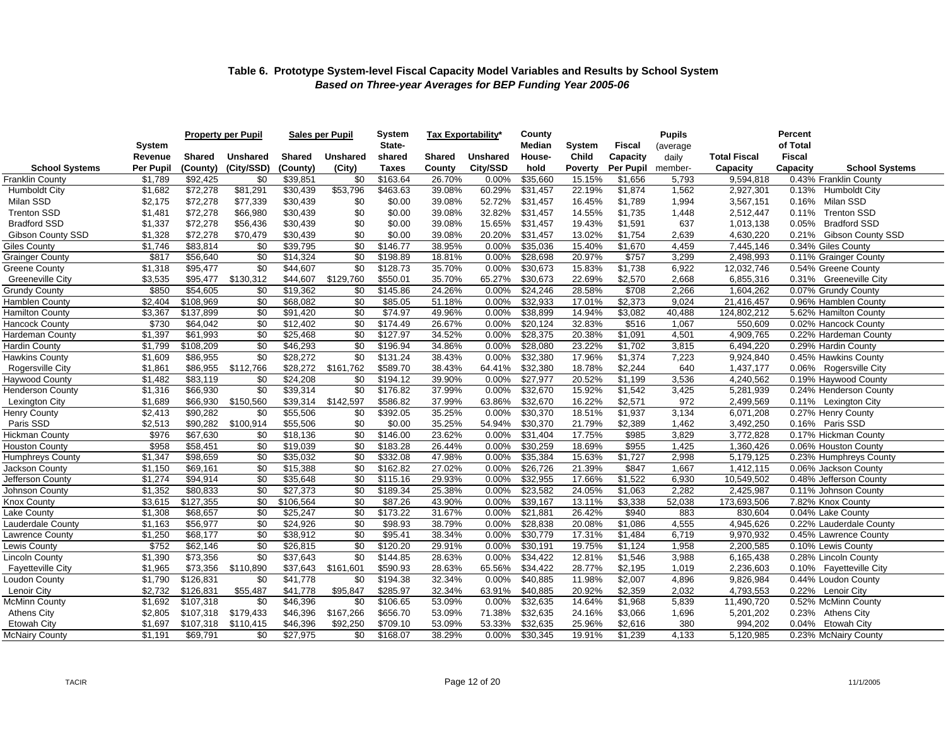|                          |                      |               | <b>Property per Pupil</b> | <b>Sales per Pupil</b> |                 | <b>System</b> | Tax Exportability* |                 | County   |                |               | <b>Pupils</b> |                     | Percent       |                         |
|--------------------------|----------------------|---------------|---------------------------|------------------------|-----------------|---------------|--------------------|-----------------|----------|----------------|---------------|---------------|---------------------|---------------|-------------------------|
|                          | System               |               |                           |                        |                 | State-        |                    |                 | Median   | <b>System</b>  | <b>Fiscal</b> | (average      |                     | of Total      |                         |
|                          | Revenue              | <b>Shared</b> | <b>Unshared</b>           | Shared                 | <b>Unshared</b> | shared        | <b>Shared</b>      | <b>Unshared</b> | House-   | Child          | Capacity      | daily         | <b>Total Fiscal</b> | <b>Fiscal</b> |                         |
| <b>School Systems</b>    | Per Pupil            | (County)      | (City/SSD)                | (County)               | (City)          | <b>Taxes</b>  | County             | City/SSD        | hold     | <b>Poverty</b> | Per Pupil     | member-       | Capacity            | Capacity      | <b>School Systems</b>   |
| <b>Franklin County</b>   | \$1,789              | \$92,425      | \$0                       | \$39,851               | \$0             | \$163.64      | 26.70%             | 0.00%           | \$35.660 | 15.15%         | \$1,656       | 5,793         | 9,594,818           |               | 0.43% Franklin County   |
| <b>Humboldt City</b>     | \$1,682              | \$72,278      | \$81,291                  | \$30,439               | \$53,796        | \$463.63      | 39.08%             | 60.29%          | \$31,457 | 22.19%         | \$1,874       | 1,562         | 2,927,301           |               | 0.13% Humboldt City     |
| Milan SSD                | \$2,175              | \$72,278      | \$77,339                  | \$30,439               | \$0             | \$0.00        | 39.08%             | 52.72%          | \$31.457 | 16.45%         | \$1,789       | 1,994         | 3,567,151           | 0.16%         | Milan SSD               |
| <b>Trenton SSD</b>       | \$1,481              | \$72,278      | \$66,980                  | \$30,439               | \$0             | \$0.00        | 39.08%             | 32.82%          | \$31,457 | 14.55%         | \$1,735       | 1,448         | 2,512,447           | 0.11%         | <b>Trenton SSD</b>      |
| <b>Bradford SSD</b>      | \$1,337              | \$72,278      | \$56,436                  | \$30,439               | \$0             | \$0.00        | 39.08%             | 15.65%          | \$31.457 | 19.43%         | \$1,591       | 637           | 1,013,138           | 0.05%         | <b>Bradford SSD</b>     |
| <b>Gibson County SSD</b> | \$1,328              | \$72,278      | \$70,479                  | \$30,439               | \$0             | \$0.00        | 39.08%             | 20.20%          | \$31,457 | 13.02%         | \$1,754       | 2,639         | 4,630,220           | 0.21%         | Gibson County SSD       |
| <b>Giles County</b>      | \$1,746              | \$83,814      | \$0                       | \$39,795               | \$0             | \$146.77      | 38.95%             | 0.00%           | \$35,036 | 15.40%         | \$1,670       | 4,459         | 7,445,146           |               | 0.34% Giles County      |
| <b>Grainger County</b>   | \$817                | \$56.640      | \$0                       | \$14,324               | \$0             | \$198.89      | 18.81%             | 0.00%           | \$28.698 | 20.97%         | \$757         | 3,299         | 2,498,993           |               | 0.11% Grainger County   |
| <b>Greene County</b>     | \$1,318              | \$95,477      | \$0                       | \$44,607               | \$0             | \$128.73      | 35.70%             | 0.00%           | \$30,673 | 15.83%         | \$1,738       | 6,922         | 12,032,746          |               | 0.54% Greene County     |
| <b>Greeneville City</b>  | \$3,535              | \$95,477      | \$130,312                 | \$44,607               | \$129,760       | \$550.01      | 35.70%             | 65.27%          | \$30,673 | 22.69%         | \$2,570       | 2,668         | 6,855,316           |               | 0.31% Greeneville City  |
| <b>Grundy County</b>     | \$850                | \$54,605      | \$0                       | \$19,362               | \$0             | \$145.86      | 24.26%             | 0.00%           | \$24,246 | 28.58%         | \$708         | 2,266         | 1,604,262           |               | 0.07% Grundy County     |
| Hamblen County           | \$2,404              | \$108,969     | \$0                       | \$68,082               | \$0             | \$85.05       | 51.18%             | 0.00%           | \$32,933 | 17.01%         | \$2,373       | 9,024         | 21,416,457          |               | 0.96% Hamblen County    |
| <b>Hamilton County</b>   | \$3,367              | \$137,899     | \$0                       | \$91,420               | \$0             | \$74.97       | 49.96%             | 0.00%           | \$38,899 | 14.94%         | \$3,082       | 40,488        | 124,802,212         |               | 5.62% Hamilton County   |
| <b>Hancock County</b>    | \$730                | \$64,042      | \$0                       | \$12,402               | \$0             | \$174.49      | 26.67%             | 0.00%           | \$20.124 | 32.83%         | \$516         | 1,067         | 550,609             |               | 0.02% Hancock County    |
| <b>Hardeman County</b>   | \$1,397              | \$61,993      | \$0                       | \$25,468               | \$0             | \$127.97      | 34.52%             | 0.00%           | \$28,375 | 20.38%         | \$1,091       | 4,501         | 4,909,765           |               | 0.22% Hardeman County   |
| <b>Hardin County</b>     | \$1,799              | \$108.209     | \$0                       | \$46,293               | \$0             | \$196.94      | 34.86%             | 0.00%           | \$28,080 | 23.22%         | \$1,702       | 3,815         | 6,494,220           |               | 0.29% Hardin County     |
| Hawkins County           | \$1,609              | \$86,955      | \$0                       | \$28,272               | \$0             | \$131.24      | 38.43%             | 0.00%           | \$32,380 | 17.96%         | \$1,374       | 7,223         | 9,924,840           |               | 0.45% Hawkins County    |
| Rogersville City         | \$1,861              | \$86,955      | \$112,766                 | \$28,272               | \$161,762       | \$589.70      | 38.43%             | 64.41%          | \$32,380 | 18.78%         | \$2,244       | 640           | 1,437,177           |               | 0.06% Rogersville City  |
| <b>Haywood County</b>    | \$1,482              | \$83,119      | \$0                       | \$24,208               | \$0             | \$194.12      | 39.90%             | 0.00%           | \$27,977 | 20.52%         | \$1,199       | 3,536         | 4,240,562           |               | 0.19% Haywood County    |
| <b>Henderson County</b>  | $\overline{\$1,316}$ | \$66,930      | \$0                       | \$39,314               | \$0             | \$176.82      | 37.99%             | 0.00%           | \$32,670 | 15.92%         | \$1,542       | 3,425         | 5,281,939           |               | 0.24% Henderson County  |
| Lexington City           | \$1,689              | \$66,930      | \$150,560                 | \$39,314               | \$142,597       | \$586.82      | 37.99%             | 63.86%          | \$32,670 | 16.22%         | \$2,571       | 972           | 2,499,569           |               | 0.11% Lexington City    |
| <b>Henry County</b>      | \$2,413              | \$90,282      | \$0                       | \$55,506               | \$0             | \$392.05      | 35.25%             | 0.00%           | \$30,370 | 18.51%         | \$1,937       | 3,134         | 6,071,208           |               | 0.27% Henry County      |
| Paris SSD                | \$2,513              | \$90,282      | \$100,914                 | \$55,506               | \$0             | \$0.00        | 35.25%             | 54.94%          | \$30,370 | 21.79%         | \$2,389       | 1,462         | 3,492,250           |               | 0.16% Paris SSD         |
| <b>Hickman County</b>    | \$976                | \$67,630      | \$0                       | \$18,136               | \$0             | \$146.00      | 23.62%             | 0.00%           | \$31,404 | 17.75%         | \$985         | 3,829         | 3,772,828           |               | 0.17% Hickman County    |
| <b>Houston County</b>    | \$958                | \$58,451      | \$0                       | \$19,039               | \$0             | \$183.28      | 26.44%             | 0.00%           | \$30,259 | 18.69%         | \$955         | 1,425         | 1,360,426           |               | 0.06% Houston County    |
| <b>Humphreys County</b>  | \$1,347              | \$98,659      | \$0                       | \$35,032               | \$0             | \$332.08      | 47.98%             | 0.00%           | \$35,384 | 15.63%         | \$1,727       | 2,998         | 5,179,125           |               | 0.23% Humphreys County  |
| Jackson County           | \$1,150              | \$69,161      | \$0                       | \$15,388               | \$0             | \$162.82      | 27.02%             | 0.00%           | \$26,726 | 21.39%         | \$847         | 1,667         | 1,412,115           |               | 0.06% Jackson County    |
| Jefferson County         | \$1,274              | \$94,914      | \$0                       | \$35,648               | \$0             | \$115.16      | 29.93%             | 0.00%           | \$32,955 | 17.66%         | \$1,522       | 6,930         | 10,549,502          |               | 0.48% Jefferson County  |
| Johnson County           | \$1,352              | \$80,833      | \$0                       | \$27,373               | \$0             | \$189.34      | 25.38%             | 0.00%           | \$23,582 | 24.05%         | \$1,063       | 2,282         | 2,425,987           |               | 0.11% Johnson County    |
| <b>Knox County</b>       | \$3,615              | \$127,355     | \$0                       | \$106,564              | \$0             | \$87.26       | 43.90%             | 0.00%           | \$39,167 | 13.11%         | \$3,338       | 52,038        | 173,693,506         |               | 7.82% Knox County       |
| Lake County              | \$1,308              | \$68,657      | \$0                       | \$25,247               | \$0             | \$173.22      | 31.67%             | 0.00%           | \$21,881 | 26.42%         | \$940         | 883           | 830,604             |               | 0.04% Lake County       |
| Lauderdale County        | \$1,163              | \$56,977      | \$0                       | \$24,926               | \$0             | \$98.93       | 38.79%             | 0.00%           | \$28,838 | 20.08%         | \$1,086       | 4,555         | 4,945,626           |               | 0.22% Lauderdale County |
| Lawrence County          | \$1,250              | \$68,177      | \$0                       | \$38,912               | \$0             | \$95.41       | 38.34%             | 0.00%           | \$30,779 | 17.31%         | \$1,484       | 6,719         | 9,970,932           |               | 0.45% Lawrence County   |
| Lewis County             | \$752                | \$62,146      | \$0                       | \$26,815               | \$0             | \$120.20      | 29.91%             | 0.00%           | \$30,191 | 19.75%         | \$1,124       | 1,958         | 2,200,585           |               | 0.10% Lewis County      |
| <b>Lincoln County</b>    | \$1,390              | \$73,356      | \$0                       | \$37,643               | \$0             | \$144.85      | 28.63%             | 0.00%           | \$34,422 | 12.81%         | \$1,546       | 3,988         | 6,165,438           |               | 0.28% Lincoln County    |
| <b>Fayetteville City</b> | \$1,965              | \$73,356      | \$110,890                 | \$37,643               | \$161,601       | \$590.93      | 28.63%             | 65.56%          | \$34,422 | 28.77%         | \$2,195       | 1,019         | 2,236,603           |               | 0.10% Fayetteville City |
| Loudon County            | \$1,790              | \$126,831     | \$0                       | \$41,778               | \$0             | \$194.38      | 32.34%             | 0.00%           | \$40,885 | 11.98%         | \$2,007       | 4,896         | 9,826,984           |               | 0.44% Loudon County     |
| Lenoir City              | \$2,732              | \$126,831     | \$55,487                  | \$41,778               | \$95,847        | \$285.97      | 32.34%             | 63.91%          | \$40,885 | 20.92%         | \$2,359       | 2,032         | 4,793,553           |               | 0.22% Lenoir City       |
| <b>McMinn County</b>     | \$1,692              | \$107,318     | \$0                       | \$46,396               | \$0             | \$106.65      | 53.09%             | $0.00\%$        | \$32,635 | 14.64%         | \$1,968       | 5,839         | 11,490,720          |               | 0.52% McMinn County     |
| <b>Athens City</b>       | \$2,805              | \$107,318     | \$179,433                 | \$46,396               | \$167,266       | \$656.70      | 53.09%             | 71.38%          | \$32,635 | 24.16%         | \$3,066       | 1,696         | 5,201,202           |               | 0.23% Athens City       |
| <b>Etowah City</b>       | \$1,697              | \$107,318     | \$110,415                 | \$46,396               | \$92,250        | \$709.10      | 53.09%             | 53.33%          | \$32,635 | 25.96%         | \$2,616       | 380           | 994,202             |               | 0.04% Etowah City       |
| <b>McNairy County</b>    | \$1,191              | \$69,791      | \$0                       | \$27,975               | \$0             | \$168.07      | 38.29%             | 0.00%           | \$30,345 | 19.91%         | \$1,239       | 4,133         | 5,120,985           |               | 0.23% McNairy County    |
|                          |                      |               |                           |                        |                 |               |                    |                 |          |                |               |               |                     |               |                         |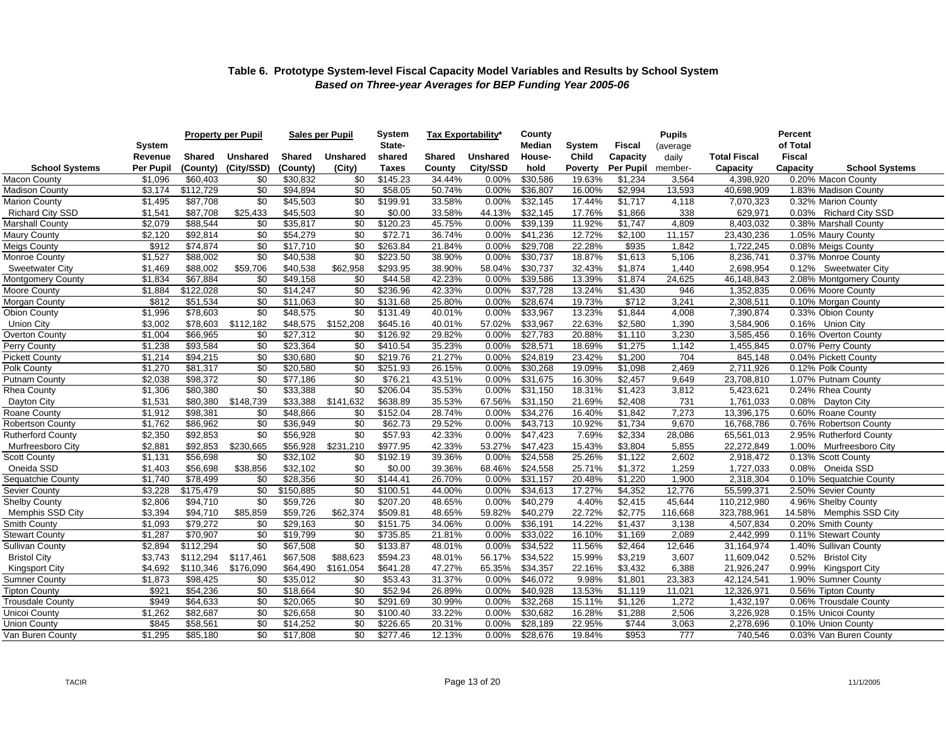|                          | System    |           | <b>Property per Pupil</b> |           | <b>Sales per Pupil</b> | <b>System</b><br>State- | Tax Exportability* |                 | County<br>Median | <b>System</b>  | <b>Fiscal</b> | <b>Pupils</b><br>(average |                     | Percent<br>of Total               |
|--------------------------|-----------|-----------|---------------------------|-----------|------------------------|-------------------------|--------------------|-----------------|------------------|----------------|---------------|---------------------------|---------------------|-----------------------------------|
|                          | Revenue   | Shared    | <b>Unshared</b>           | Shared    | <b>Unshared</b>        | shared                  | <b>Shared</b>      | <b>Unshared</b> | House-           | Child          | Capacity      | daily                     | <b>Total Fiscal</b> | <b>Fiscal</b>                     |
| <b>School Systems</b>    | Per Pupil | (County)  | (City/SSD)                | (County)  | (City)                 | <b>Taxes</b>            | County             | City/SSD        | hold             | <b>Poverty</b> | Per Pupil     | member-                   | Capacity            | Capacity<br><b>School Systems</b> |
| <b>Macon County</b>      | \$1,096   | \$60,403  | \$0                       | \$30,832  | \$0                    | \$145.23                | 34.44%             | 0.00%           | \$30,586         | 19.63%         | \$1,234       | 3,564                     | 4,398,920           | 0.20% Macon County                |
| Madison County           | \$3,174   | \$112,729 | \$0                       | \$94,894  | \$0                    | \$58.05                 | 50.74%             | 0.00%           | \$36,807         | 16.00%         | \$2,994       | 13,593                    | 40,698,909          | 1.83% Madison County              |
| <b>Marion County</b>     | \$1,495   | \$87,708  | \$0                       | \$45,503  | \$0                    | \$199.91                | 33.58%             | 0.00%           | \$32,145         | 17.44%         | \$1,717       | 4,118                     | 7,070,323           | 0.32% Marion County               |
| Richard City SSD         | \$1,541   | \$87,708  | \$25,433                  | \$45,503  | \$0                    | \$0.00                  | 33.58%             | 44.13%          | \$32,145         | 17.76%         | \$1,866       | 338                       | 629,971             | 0.03% Richard City SSD            |
| <b>Marshall County</b>   | \$2,079   | \$88,544  | \$0                       | \$35,817  | \$0                    | \$120.23                | 45.75%             | 0.00%           | \$39,139         | 11.92%         | \$1,747       | 4,809                     | 8,403,032           | 0.38% Marshall County             |
| <b>Maury County</b>      | \$2,120   | \$92,814  | \$0                       | \$54,279  | \$0                    | \$72.71                 | 36.74%             | 0.00%           | \$41,236         | 12.72%         | \$2,100       | 11,157                    | 23,430,236          | 1.05% Maury County                |
| <b>Meigs County</b>      | \$912     | \$74,874  | \$0                       | \$17,710  | \$0                    | \$263.84                | 21.84%             | 0.00%           | \$29,708         | 22.28%         | \$935         | 1,842                     | 1,722,245           | 0.08% Meigs County                |
| Monroe County            | \$1,527   | \$88,002  | \$0                       | \$40,538  | \$0                    | \$223.50                | 38.90%             | 0.00%           | \$30,737         | 18.87%         | \$1,613       | 5,106                     | 8,236,741           | 0.37% Monroe County               |
| <b>Sweetwater City</b>   | \$1,469   | \$88,002  | \$59,706                  | \$40,538  | \$62,958               | \$293.95                | 38.90%             | 58.04%          | \$30,737         | 32.43%         | \$1,874       | 1,440                     | 2,698,954           | 0.12% Sweetwater City             |
| <b>Montgomery County</b> | \$1,834   | \$67,884  | \$0                       | \$49,158  | \$0                    | \$44.58                 | 42.23%             | 0.00%           | \$39,586         | 13.39%         | \$1,874       | 24,625                    | 46,148,843          | 2.08% Montgomery County           |
| <b>Moore County</b>      | \$1,884   | \$122,028 | \$0                       | \$14,247  | \$0                    | \$236.96                | 42.33%             | 0.00%           | \$37,728         | 13.24%         | \$1,430       | 946                       | 1,352,835           | 0.06% Moore County                |
| Morgan County            | \$812     | \$51,534  | \$0                       | \$11,063  | \$0                    | \$131.68                | 25.80%             | 0.00%           | \$28,674         | 19.73%         | \$712         | 3,241                     | 2,308,511           | 0.10% Morgan County               |
| <b>Obion County</b>      | \$1,996   | \$78,603  | \$0                       | \$48,575  | \$0                    | \$131.49                | 40.01%             | 0.00%           | \$33,967         | 13.23%         | \$1,844       | 4,008                     | 7,390,874           | 0.33% Obion County                |
| <b>Union City</b>        | \$3,002   | \$78,603  | \$112,182                 | \$48,575  | \$152,208              | \$645.16                | 40.01%             | 57.02%          | \$33.967         | 22.63%         | \$2,580       | 1,390                     | 3,584,906           | 0.16% Union City                  |
| Overton County           | \$1,004   | \$66,965  | \$0                       | \$27,312  | \$0                    | \$126.92                | 29.82%             | 0.00%           | \$27.783         | 20.88%         | \$1.110       | 3,230                     | 3,585,456           | 0.16% Overton County              |
| Perry County             | \$1,238   | \$93,584  | \$0                       | \$23,364  | \$0                    | \$410.54                | 35.23%             | 0.00%           | \$28,571         | 18.69%         | \$1,275       | 1,142                     | 1,455,845           | 0.07% Perry County                |
| <b>Pickett County</b>    | \$1,214   | \$94,215  | \$0                       | \$30,680  | \$0                    | \$219.76                | 21.27%             | 0.00%           | \$24,819         | 23.42%         | \$1,200       | 704                       | 845,148             | 0.04% Pickett County              |
| Polk County              | \$1,270   | \$81,317  | \$0                       | \$20,580  | \$0                    | \$251.93                | 26.15%             | 0.00%           | \$30,268         | 19.09%         | \$1,098       | 2,469                     | 2,711,926           | 0.12% Polk County                 |
| Putnam County            | \$2,038   | \$98,372  | \$0                       | \$77,186  | \$0                    | \$76.21                 | 43.51%             | 0.00%           | \$31,675         | 16.30%         | \$2,457       | 9,649                     | 23,708,810          | 1.07% Putnam County               |
| Rhea County              | \$1,306   | \$80,380  | \$0                       | \$33,388  | \$0                    | \$206.04                | 35.53%             | 0.00%           | \$31,150         | 18.31%         | \$1,423       | 3,812                     | 5,423,621           | 0.24% Rhea County                 |
| Dayton City              | \$1,531   | \$80,380  | \$148,739                 | \$33,388  | \$141,632              | \$638.89                | 35.53%             | 67.56%          | \$31,150         | 21.69%         | \$2,408       | 731                       | 1,761,033           | 0.08% Dayton City                 |
| Roane County             | \$1,912   | \$98,381  | \$0                       | \$48,866  | \$0                    | \$152.04                | 28.74%             | 0.00%           | \$34,276         | 16.40%         | \$1,842       | 7,273                     | 13,396,175          | 0.60% Roane County                |
| Robertson County         | \$1,762   | \$86,962  | \$0                       | \$36,949  | \$0                    | \$62.73                 | 29.52%             | 0.00%           | \$43,713         | 10.92%         | \$1,734       | 9,670                     | 16,768,786          | 0.76% Robertson County            |
| <b>Rutherford County</b> | \$2,350   | \$92,853  | \$0                       | \$56,928  | $\overline{30}$        | \$57.93                 | 42.33%             | $0.00\%$        | \$47,423         | 7.69%          | \$2,334       | 28,086                    | 65,561,013          | 2.95% Rutherford County           |
| Murfreesboro City        | \$2,881   | \$92,853  | \$230,665                 | \$56,928  | \$231,210              | \$977.95                | 42.33%             | 53.27%          | \$47,423         | 15.43%         | \$3,804       | 5,855                     | 22,272,849          | 1.00% Murfreesboro City           |
| <b>Scott County</b>      | \$1,131   | \$56,698  | \$0                       | \$32,102  | \$0                    | \$192.19                | 39.36%             | 0.00%           | \$24.558         | 25.26%         | \$1,122       | 2,602                     | 2,918,472           | 0.13% Scott County                |
| Oneida SSD               | \$1,403   | \$56,698  | \$38,856                  | \$32,102  | \$0                    | \$0.00                  | 39.36%             | 68.46%          | \$24,558         | 25.71%         | \$1,372       | 1,259                     | 1,727,033           | 0.08% Oneida SSD                  |
| Sequatchie County        | \$1,740   | \$78,499  | \$0                       | \$28,356  | \$0                    | \$144.41                | 26.70%             | $0.00\%$        | \$31,157         | 20.48%         | \$1,220       | 1,900                     | 2,318,304           | 0.10% Sequatchie County           |
| Sevier County            | \$3,228   | \$175,479 | \$0                       | \$150,885 | \$0                    | \$100.51                | 44.00%             | 0.00%           | \$34,613         | 17.27%         | \$4,352       | 12,776                    | 55,599,371          | 2.50% Sevier County               |
| <b>Shelby County</b>     | \$2,806   | \$94,710  | \$0                       | \$59,726  | \$0                    | \$207.20                | 48.65%             | 0.00%           | \$40,279         | 4.40%          | \$2,415       | 45,644                    | 110,212,980         | 4.96% Shelby County               |
| Memphis SSD City         | \$3,394   | \$94,710  | \$85,859                  | \$59,726  | \$62,374               | \$509.81                | 48.65%             | 59.82%          | \$40,279         | 22.72%         | \$2,775       | 116.668                   | 323,788,961         | 14.58% Memphis SSD City           |
| Smith County             | \$1,093   | \$79,272  | \$0                       | \$29,163  | \$0                    | \$151.75                | 34.06%             | 0.00%           | \$36,191         | 14.22%         | \$1,437       | 3,138                     | 4,507,834           | 0.20% Smith County                |
| <b>Stewart County</b>    | \$1,287   | \$70,907  | \$0                       | \$19,799  | \$0                    | \$735.85                | 21.81%             | 0.00%           | \$33.022         | 16.10%         | \$1,169       | 2,089                     | 2,442,999           | 0.11% Stewart County              |
| <b>Sullivan County</b>   | \$2,894   | \$112,294 | \$0                       | \$67,508  | \$0                    | \$133.87                | 48.01%             | 0.00%           | \$34,522         | 11.56%         | \$2,464       | 12,646                    | 31,164,974          | 1.40% Sullivan County             |
| <b>Bristol City</b>      | \$3,743   | \$112,294 | \$117,461                 | \$67,508  | \$88,623               | \$594.23                | 48.01%             | 56.17%          | \$34,522         | 15.99%         | \$3,219       | 3,607                     | 11,609,042          | 0.52% Bristol City                |
| Kingsport City           | \$4,692   | \$110,346 | \$176,090                 | \$64,490  | \$161,054              | \$641.28                | 47.27%             | 65.35%          | \$34,357         | 22.16%         | \$3,432       | 6,388                     | 21,926,247          | 0.99% Kingsport City              |
| <b>Sumner County</b>     | \$1,873   | \$98,425  | \$0                       | \$35,012  | \$0                    | \$53.43                 | 31.37%             | 0.00%           | \$46,072         | 9.98%          | \$1,801       | 23,383                    | 42,124,541          | 1.90% Sumner County               |
| <b>Tipton County</b>     | \$921     | \$54,236  | \$0                       | \$18,664  | \$0                    | \$52.94                 | 26.89%             | 0.00%           | \$40,928         | 13.53%         | \$1,119       | 11,021                    | 12,326,971          | 0.56% Tipton County               |
| <b>Trousdale County</b>  | \$949     | \$64,633  | \$0                       | \$20,065  | \$0                    | \$291.69                | 30.99%             | 0.00%           | \$32,268         | 15.11%         | \$1,126       | 1,272                     | 1,432,197           | 0.06% Trousdale County            |
| Unicoi County            | \$1,262   | \$82,687  | \$0                       | \$26,658  | \$0                    | \$100.40                | 33.22%             | 0.00%           | \$30,682         | 16.28%         | \$1,288       | 2,506                     | 3,226,928           | 0.15% Unicoi County               |
| <b>Union County</b>      | \$845     | \$58,561  | \$0                       | \$14,252  | \$0                    | \$226.65                | 20.31%             | 0.00%           | \$28,189         | 22.95%         | \$744         | 3,063                     | 2,278,696           | 0.10% Union County                |
| Van Buren County         | \$1,295   | \$85,180  | \$0                       | \$17,808  | \$0                    | \$277.46                | 12.13%             | $0.00\%$        | \$28,676         | 19.84%         | \$953         | 777                       | 740,546             | 0.03% Van Buren County            |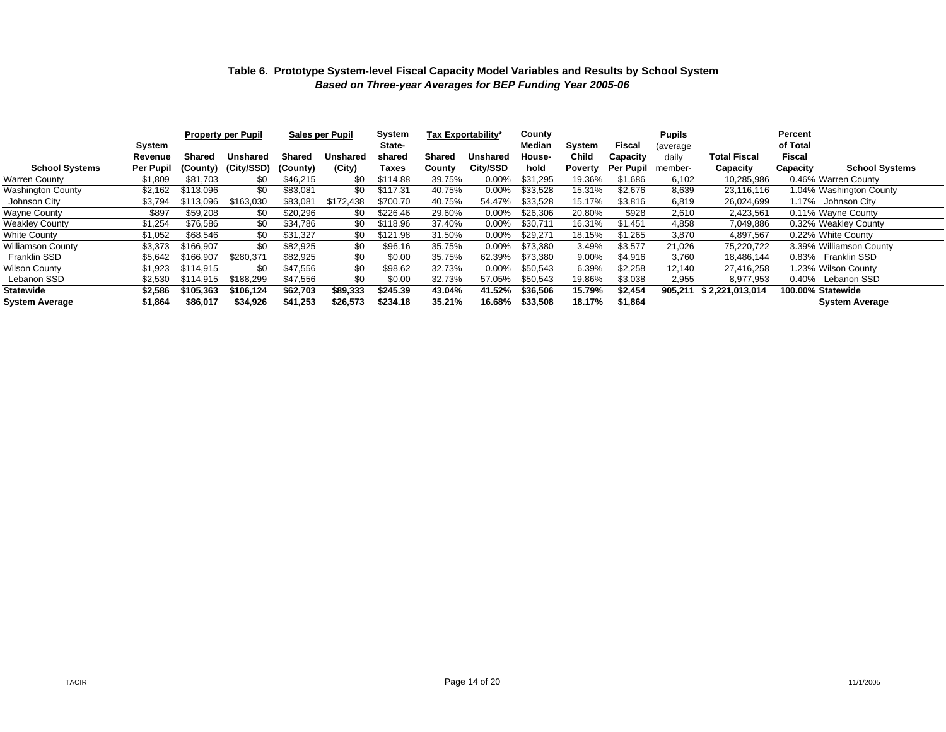|                       | System           |               | <b>Property per Pupil</b> | <b>Sales per Pupil</b> |           | System<br>State- | Tax Exportability* |                 | County<br>Median | System         | Fiscal           | <b>Pupils</b><br>(average |                     | Percent<br>of Total |                         |
|-----------------------|------------------|---------------|---------------------------|------------------------|-----------|------------------|--------------------|-----------------|------------------|----------------|------------------|---------------------------|---------------------|---------------------|-------------------------|
|                       | Revenue          | <b>Shared</b> | Unshared                  | <b>Shared</b>          | Unshared  | shared           | Shared             | <b>Unshared</b> | House-           | Child          | Capacity         | dailv                     | <b>Total Fiscal</b> | Fiscal              |                         |
| <b>School Systems</b> | <b>Per Pupil</b> | (County)      | (City/SSD)                | (County)               | (City)    | Taxes            | County             | City/SSD        | hold             | <b>Poverty</b> | <b>Per Pupil</b> | member-                   | Capacity            | Capacity            | <b>School Systems</b>   |
| Warren County         | \$1,809          | \$81,703      | \$0                       | \$46,215               | \$0       | \$114.88         | 39.75%             | 0.00%           | \$31,295         | 19.36%         | \$1,686          | 6,102                     | 10,285,986          | 0.46% Warren County |                         |
| Washington County     | \$2,162          | \$113,096     | \$0                       | \$83,081               | \$0       | \$117.31         | 40.75%             | $0.00\%$        | \$33,528         | 15.31%         | \$2,676          | 8,639                     | 23,116,116          |                     | 1.04% Washington County |
| Johnson City          | \$3,794          | \$113.096     | \$163,030                 | \$83.081               | \$172.438 | \$700.70         | 40.75%             | 54.47%          | \$33.528         | 15.17%         | \$3,816          | 6,819                     | 26.024.699          | 1.17% Johnson City  |                         |
| Wayne County          | \$897            | \$59,208      | \$0                       | \$20,296               | \$0       | \$226.46         | 29.60%             | 0.00%           | \$26,306         | 20.80%         | \$928            | 2,610                     | 2,423,561           | 0.11% Wayne County  |                         |
| Weakley County        | \$1,254          | \$76,586      | \$0                       | \$34,786               | \$0       | \$118.96         | 37.40%             | $0.00\%$        | \$30,711         | 16.31%         | \$1,451          | 4,858                     | 7,049,886           |                     | 0.32% Weakley County    |
| White County          | \$1,052          | \$68,546      | \$0                       | \$31,327               | \$0       | \$121.98         | 31.50%             | $0.00\%$        | \$29,271         | 18.15%         | \$1,265          | 3,870                     | 4,897,567           | 0.22% White County  |                         |
| Williamson County     | \$3,373          | \$166.907     | \$0                       | \$82,925               | \$0       | \$96.16          | 35.75%             | $0.00\%$        | \$73.380         | 3.49%          | \$3,577          | 21,026                    | 75,220,722          |                     | 3.39% Williamson County |
| Franklin SSD          | \$5,642          | \$166.907     | \$280,371                 | \$82,925               | \$0       | \$0.00           | 35.75%             | 62.39%          | \$73.380         | 9.00%          | \$4,916          | 3,760                     | 18,486,144          | 0.83% Franklin SSD  |                         |
| Wilson County         | \$1,923          | \$114.915     | \$0                       | \$47.556               | \$0       | \$98.62          | 32.73%             | $0.00\%$        | \$50,543         | 6.39%          | \$2,258          | 12,140                    | 27.416.258          | 1.23% Wilson County |                         |
| Lebanon SSD           | \$2,530          | \$114.915     | \$188.299                 | \$47.556               | \$0       | \$0.00           | 32.73%             | 57.05%          | \$50.543         | 19.86%         | \$3,038          | 2,955                     | 8.977.953           | 0.40% Lebanon SSD   |                         |
| Statewide             | \$2,586          | \$105.363     | \$106.124                 | \$62,703               | \$89,333  | \$245.39         | 43.04%             | 41.52%          | \$36,506         | 15.79%         | \$2,454          | 905,211                   | \$2,221,013,014     | 100.00% Statewide   |                         |
| System Average        | \$1,864          | \$86,017      | \$34,926                  | \$41,253               | \$26,573  | \$234.18         | 35.21%             | 16.68%          | \$33,508         | 18.17%         | \$1,864          |                           |                     |                     | <b>System Average</b>   |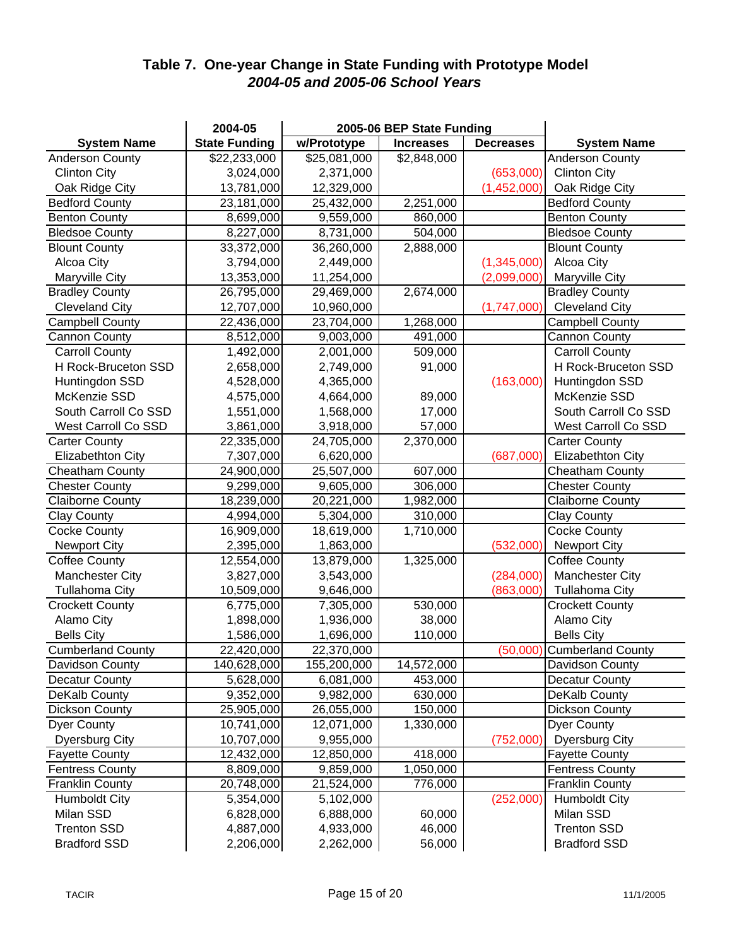## **Table 7. One-year Change in State Funding with Prototype Model** *2004-05 and 2005-06 School Years*

|                          | 2004-05              |              | 2005-06 BEP State Funding |                  |                            |
|--------------------------|----------------------|--------------|---------------------------|------------------|----------------------------|
| <b>System Name</b>       | <b>State Funding</b> | w/Prototype  | <b>Increases</b>          | <b>Decreases</b> | <b>System Name</b>         |
| <b>Anderson County</b>   | \$22,233,000         | \$25,081,000 | \$2,848,000               |                  | <b>Anderson County</b>     |
| <b>Clinton City</b>      | 3,024,000            | 2,371,000    |                           | (653,000)        | <b>Clinton City</b>        |
| Oak Ridge City           | 13,781,000           | 12,329,000   |                           | (1,452,000)      | Oak Ridge City             |
| <b>Bedford County</b>    | 23,181,000           | 25,432,000   | 2,251,000                 |                  | <b>Bedford County</b>      |
| <b>Benton County</b>     | 8,699,000            | 9,559,000    | 860,000                   |                  | <b>Benton County</b>       |
| <b>Bledsoe County</b>    | 8,227,000            | 8,731,000    | 504,000                   |                  | <b>Bledsoe County</b>      |
| <b>Blount County</b>     | 33,372,000           | 36,260,000   | 2,888,000                 |                  | <b>Blount County</b>       |
| Alcoa City               | 3,794,000            | 2,449,000    |                           | (1,345,000)      | Alcoa City                 |
| Maryville City           | 13,353,000           | 11,254,000   |                           | (2,099,000)      | <b>Maryville City</b>      |
| <b>Bradley County</b>    | 26,795,000           | 29,469,000   | 2,674,000                 |                  | <b>Bradley County</b>      |
| <b>Cleveland City</b>    | 12,707,000           | 10,960,000   |                           | (1,747,000)      | <b>Cleveland City</b>      |
| <b>Campbell County</b>   | 22,436,000           | 23,704,000   | 1,268,000                 |                  | <b>Campbell County</b>     |
| <b>Cannon County</b>     | 8,512,000            | 9,003,000    | 491,000                   |                  | Cannon County              |
| <b>Carroll County</b>    | 1,492,000            | 2,001,000    | 509,000                   |                  | <b>Carroll County</b>      |
| H Rock-Bruceton SSD      | 2,658,000            | 2,749,000    | 91,000                    |                  | H Rock-Bruceton SSD        |
| Huntingdon SSD           | 4,528,000            | 4,365,000    |                           | (163,000)        | Huntingdon SSD             |
| McKenzie SSD             | 4,575,000            | 4,664,000    | 89,000                    |                  | McKenzie SSD               |
| South Carroll Co SSD     | 1,551,000            | 1,568,000    | 17,000                    |                  | South Carroll Co SSD       |
| West Carroll Co SSD      | 3,861,000            | 3,918,000    | 57,000                    |                  | West Carroll Co SSD        |
| <b>Carter County</b>     | 22,335,000           | 24,705,000   | 2,370,000                 |                  | <b>Carter County</b>       |
| Elizabethton City        | 7,307,000            | 6,620,000    |                           | (687,000)        | Elizabethton City          |
| Cheatham County          | 24,900,000           | 25,507,000   | 607,000                   |                  | Cheatham County            |
| <b>Chester County</b>    | 9,299,000            | 9,605,000    | 306,000                   |                  | <b>Chester County</b>      |
| <b>Claiborne County</b>  | 18,239,000           | 20,221,000   | 1,982,000                 |                  | <b>Claiborne County</b>    |
| <b>Clay County</b>       | 4,994,000            | 5,304,000    | 310,000                   |                  | <b>Clay County</b>         |
| <b>Cocke County</b>      | 16,909,000           | 18,619,000   | 1,710,000                 |                  | <b>Cocke County</b>        |
| <b>Newport City</b>      | 2,395,000            | 1,863,000    |                           | (532,000)        | <b>Newport City</b>        |
| <b>Coffee County</b>     | 12,554,000           | 13,879,000   | 1,325,000                 |                  | <b>Coffee County</b>       |
| <b>Manchester City</b>   | 3,827,000            | 3,543,000    |                           | (284,000)        | Manchester City            |
| <b>Tullahoma City</b>    | 10,509,000           | 9,646,000    |                           | (863,000)        | Tullahoma City             |
| <b>Crockett County</b>   | 6,775,000            | 7,305,000    | 530,000                   |                  | <b>Crockett County</b>     |
| Alamo City               | 1,898,000            | 1,936,000    | 38,000                    |                  | Alamo City                 |
| <b>Bells City</b>        | 1,586,000            | 1,696,000    | 110,000                   |                  | <b>Bells City</b>          |
| <b>Cumberland County</b> | 22,420,000           | 22,370,000   |                           |                  | (50,000) Cumberland County |
| Davidson County          | 140,628,000          | 155,200,000  | 14,572,000                |                  | Davidson County            |
| <b>Decatur County</b>    | 5,628,000            | 6,081,000    | 453,000                   |                  | <b>Decatur County</b>      |
| DeKalb County            | 9,352,000            | 9,982,000    | 630,000                   |                  | DeKalb County              |
| <b>Dickson County</b>    | 25,905,000           | 26,055,000   | 150,000                   |                  | <b>Dickson County</b>      |
| <b>Dyer County</b>       | 10,741,000           | 12,071,000   | 1,330,000                 |                  | <b>Dyer County</b>         |
| <b>Dyersburg City</b>    | 10,707,000           | 9,955,000    |                           | (752,000)        | <b>Dyersburg City</b>      |
| <b>Fayette County</b>    | 12,432,000           | 12,850,000   | 418,000                   |                  | <b>Fayette County</b>      |
| <b>Fentress County</b>   | 8,809,000            | 9,859,000    | 1,050,000                 |                  | <b>Fentress County</b>     |
| <b>Franklin County</b>   | 20,748,000           | 21,524,000   | 776,000                   |                  | <b>Franklin County</b>     |
| <b>Humboldt City</b>     | 5,354,000            | 5,102,000    |                           | (252,000)        | <b>Humboldt City</b>       |
| Milan SSD                | 6,828,000            | 6,888,000    | 60,000                    |                  | Milan SSD                  |
| <b>Trenton SSD</b>       | 4,887,000            | 4,933,000    | 46,000                    |                  | <b>Trenton SSD</b>         |
| <b>Bradford SSD</b>      | 2,206,000            | 2,262,000    | 56,000                    |                  | <b>Bradford SSD</b>        |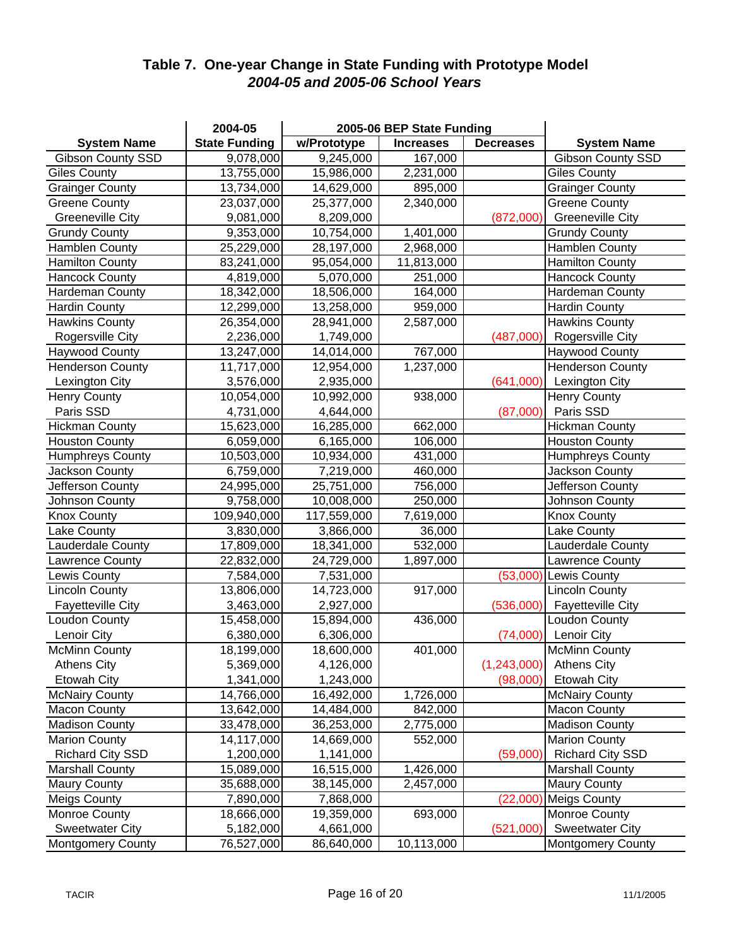## **Table 7. One-year Change in State Funding with Prototype Model** *2004-05 and 2005-06 School Years*

|                          | 2004-05              |             | 2005-06 BEP State Funding |                  |                          |
|--------------------------|----------------------|-------------|---------------------------|------------------|--------------------------|
| <b>System Name</b>       | <b>State Funding</b> | w/Prototype | <b>Increases</b>          | <b>Decreases</b> | <b>System Name</b>       |
| <b>Gibson County SSD</b> | 9,078,000            | 9,245,000   | 167,000                   |                  | <b>Gibson County SSD</b> |
| <b>Giles County</b>      | 13,755,000           | 15,986,000  | 2,231,000                 |                  | <b>Giles County</b>      |
| <b>Grainger County</b>   | 13,734,000           | 14,629,000  | 895,000                   |                  | <b>Grainger County</b>   |
| Greene County            | 23,037,000           | 25,377,000  | 2,340,000                 |                  | <b>Greene County</b>     |
| <b>Greeneville City</b>  | 9,081,000            | 8,209,000   |                           | (872,000)        | <b>Greeneville City</b>  |
| <b>Grundy County</b>     | 9,353,000            | 10,754,000  | 1,401,000                 |                  | <b>Grundy County</b>     |
| <b>Hamblen County</b>    | 25,229,000           | 28,197,000  | 2,968,000                 |                  | <b>Hamblen County</b>    |
| <b>Hamilton County</b>   | 83,241,000           | 95,054,000  | 11,813,000                |                  | <b>Hamilton County</b>   |
| <b>Hancock County</b>    | 4,819,000            | 5,070,000   | 251,000                   |                  | <b>Hancock County</b>    |
| Hardeman County          | 18,342,000           | 18,506,000  | 164,000                   |                  | Hardeman County          |
| <b>Hardin County</b>     | 12,299,000           | 13,258,000  | 959,000                   |                  | <b>Hardin County</b>     |
| <b>Hawkins County</b>    | 26,354,000           | 28,941,000  | 2,587,000                 |                  | <b>Hawkins County</b>    |
| Rogersville City         | 2,236,000            | 1,749,000   |                           | (487,000)        | Rogersville City         |
| Haywood County           | 13,247,000           | 14,014,000  | 767,000                   |                  | <b>Haywood County</b>    |
| <b>Henderson County</b>  | 11,717,000           | 12,954,000  | 1,237,000                 |                  | <b>Henderson County</b>  |
| Lexington City           | 3,576,000            | 2,935,000   |                           | (641,000)        | Lexington City           |
| <b>Henry County</b>      | 10,054,000           | 10,992,000  | 938,000                   |                  | <b>Henry County</b>      |
| Paris SSD                | 4,731,000            | 4,644,000   |                           | (87,000)         | Paris SSD                |
| <b>Hickman County</b>    | 15,623,000           | 16,285,000  | 662,000                   |                  | <b>Hickman County</b>    |
| <b>Houston County</b>    | 6,059,000            | 6,165,000   | 106,000                   |                  | <b>Houston County</b>    |
| <b>Humphreys County</b>  | 10,503,000           | 10,934,000  | 431,000                   |                  | <b>Humphreys County</b>  |
| Jackson County           | 6,759,000            | 7,219,000   | 460,000                   |                  | Jackson County           |
| Jefferson County         | 24,995,000           | 25,751,000  | 756,000                   |                  | Jefferson County         |
| Johnson County           | 9,758,000            | 10,008,000  | 250,000                   |                  | Johnson County           |
| <b>Knox County</b>       | 109,940,000          | 117,559,000 | 7,619,000                 |                  | <b>Knox County</b>       |
| Lake County              | 3,830,000            | 3,866,000   | 36,000                    |                  | Lake County              |
| Lauderdale County        | 17,809,000           | 18,341,000  | 532,000                   |                  | Lauderdale County        |
| Lawrence County          | 22,832,000           | 24,729,000  | 1,897,000                 |                  | Lawrence County          |
| Lewis County             | 7,584,000            | 7,531,000   |                           | (53,000)         | <b>Lewis County</b>      |
| <b>Lincoln County</b>    | 13,806,000           | 14,723,000  | 917,000                   |                  | <b>Lincoln County</b>    |
| <b>Fayetteville City</b> | 3,463,000            | 2,927,000   |                           | (536,000)        | <b>Fayetteville City</b> |
| Loudon County            | 15,458,000           | 15,894,000  | 436,000                   |                  | Loudon County            |
| Lenoir City              | 6,380,000            | 6,306,000   |                           | (74,000)         | Lenoir City              |
| McMinn County            | 18,199,000           | 18,600,000  | 401,000                   |                  | <b>McMinn County</b>     |
| <b>Athens City</b>       | 5,369,000            | 4,126,000   |                           | (1,243,000)      | <b>Athens City</b>       |
| <b>Etowah City</b>       | 1,341,000            | 1,243,000   |                           | (98,000)         | Etowah City              |
| <b>McNairy County</b>    | 14,766,000           | 16,492,000  | 1,726,000                 |                  | <b>McNairy County</b>    |
| <b>Macon County</b>      | 13,642,000           | 14,484,000  | 842,000                   |                  | <b>Macon County</b>      |
| <b>Madison County</b>    | 33,478,000           | 36,253,000  | 2,775,000                 |                  | <b>Madison County</b>    |
| <b>Marion County</b>     | 14,117,000           | 14,669,000  | 552,000                   |                  | <b>Marion County</b>     |
| <b>Richard City SSD</b>  | 1,200,000            | 1,141,000   |                           | (59,000)         | <b>Richard City SSD</b>  |
| <b>Marshall County</b>   | 15,089,000           | 16,515,000  | 1,426,000                 |                  | <b>Marshall County</b>   |
| <b>Maury County</b>      | 35,688,000           | 38,145,000  | 2,457,000                 |                  | <b>Maury County</b>      |
| <b>Meigs County</b>      | 7,890,000            | 7,868,000   |                           | (22,000)         | <b>Meigs County</b>      |
| Monroe County            | 18,666,000           | 19,359,000  | 693,000                   |                  | Monroe County            |
| <b>Sweetwater City</b>   | 5,182,000            | 4,661,000   |                           | (521,000)        | <b>Sweetwater City</b>   |
| <b>Montgomery County</b> | 76,527,000           | 86,640,000  | 10,113,000                |                  | <b>Montgomery County</b> |